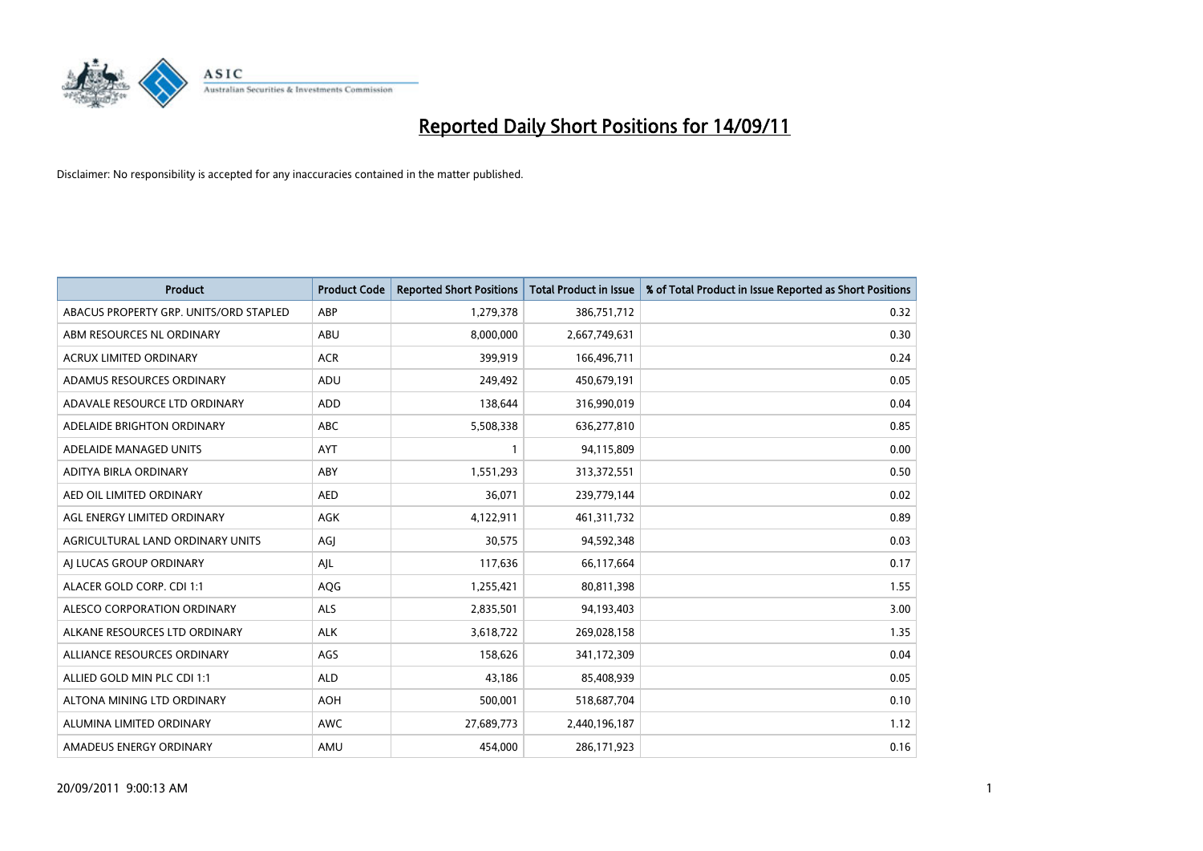

| <b>Product</b>                         | <b>Product Code</b> | <b>Reported Short Positions</b> | Total Product in Issue | % of Total Product in Issue Reported as Short Positions |
|----------------------------------------|---------------------|---------------------------------|------------------------|---------------------------------------------------------|
| ABACUS PROPERTY GRP. UNITS/ORD STAPLED | ABP                 | 1,279,378                       | 386,751,712            | 0.32                                                    |
| ABM RESOURCES NL ORDINARY              | <b>ABU</b>          | 8,000,000                       | 2,667,749,631          | 0.30                                                    |
| <b>ACRUX LIMITED ORDINARY</b>          | <b>ACR</b>          | 399,919                         | 166,496,711            | 0.24                                                    |
| ADAMUS RESOURCES ORDINARY              | ADU                 | 249,492                         | 450,679,191            | 0.05                                                    |
| ADAVALE RESOURCE LTD ORDINARY          | ADD                 | 138,644                         | 316,990,019            | 0.04                                                    |
| ADELAIDE BRIGHTON ORDINARY             | <b>ABC</b>          | 5,508,338                       | 636,277,810            | 0.85                                                    |
| ADELAIDE MANAGED UNITS                 | <b>AYT</b>          |                                 | 94,115,809             | 0.00                                                    |
| ADITYA BIRLA ORDINARY                  | ABY                 | 1,551,293                       | 313,372,551            | 0.50                                                    |
| AED OIL LIMITED ORDINARY               | <b>AED</b>          | 36,071                          | 239,779,144            | 0.02                                                    |
| AGL ENERGY LIMITED ORDINARY            | <b>AGK</b>          | 4,122,911                       | 461,311,732            | 0.89                                                    |
| AGRICULTURAL LAND ORDINARY UNITS       | AGJ                 | 30,575                          | 94,592,348             | 0.03                                                    |
| AI LUCAS GROUP ORDINARY                | AJL                 | 117,636                         | 66,117,664             | 0.17                                                    |
| ALACER GOLD CORP. CDI 1:1              | AQG                 | 1,255,421                       | 80,811,398             | 1.55                                                    |
| ALESCO CORPORATION ORDINARY            | <b>ALS</b>          | 2,835,501                       | 94,193,403             | 3.00                                                    |
| ALKANE RESOURCES LTD ORDINARY          | <b>ALK</b>          | 3,618,722                       | 269,028,158            | 1.35                                                    |
| ALLIANCE RESOURCES ORDINARY            | AGS                 | 158,626                         | 341,172,309            | 0.04                                                    |
| ALLIED GOLD MIN PLC CDI 1:1            | <b>ALD</b>          | 43,186                          | 85,408,939             | 0.05                                                    |
| ALTONA MINING LTD ORDINARY             | <b>AOH</b>          | 500,001                         | 518,687,704            | 0.10                                                    |
| ALUMINA LIMITED ORDINARY               | <b>AWC</b>          | 27,689,773                      | 2,440,196,187          | 1.12                                                    |
| AMADEUS ENERGY ORDINARY                | AMU                 | 454,000                         | 286,171,923            | 0.16                                                    |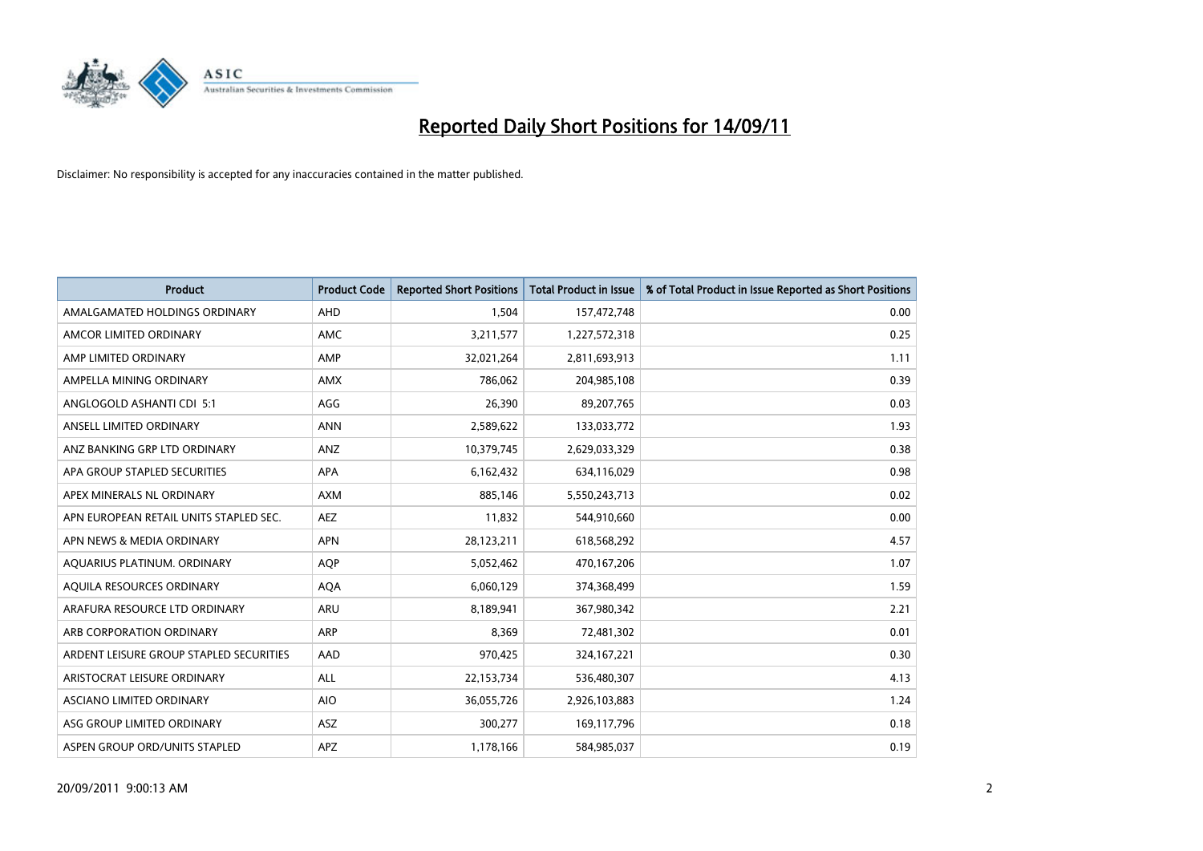

| <b>Product</b>                          | <b>Product Code</b> | <b>Reported Short Positions</b> | Total Product in Issue | % of Total Product in Issue Reported as Short Positions |
|-----------------------------------------|---------------------|---------------------------------|------------------------|---------------------------------------------------------|
| AMALGAMATED HOLDINGS ORDINARY           | <b>AHD</b>          | 1,504                           | 157,472,748            | 0.00                                                    |
| AMCOR LIMITED ORDINARY                  | AMC                 | 3,211,577                       | 1,227,572,318          | 0.25                                                    |
| AMP LIMITED ORDINARY                    | AMP                 | 32,021,264                      | 2,811,693,913          | 1.11                                                    |
| AMPELLA MINING ORDINARY                 | <b>AMX</b>          | 786,062                         | 204,985,108            | 0.39                                                    |
| ANGLOGOLD ASHANTI CDI 5:1               | AGG                 | 26,390                          | 89,207,765             | 0.03                                                    |
| ANSELL LIMITED ORDINARY                 | <b>ANN</b>          | 2,589,622                       | 133,033,772            | 1.93                                                    |
| ANZ BANKING GRP LTD ORDINARY            | ANZ                 | 10,379,745                      | 2,629,033,329          | 0.38                                                    |
| APA GROUP STAPLED SECURITIES            | <b>APA</b>          | 6,162,432                       | 634,116,029            | 0.98                                                    |
| APEX MINERALS NL ORDINARY               | <b>AXM</b>          | 885,146                         | 5,550,243,713          | 0.02                                                    |
| APN EUROPEAN RETAIL UNITS STAPLED SEC.  | <b>AEZ</b>          | 11,832                          | 544,910,660            | 0.00                                                    |
| APN NEWS & MEDIA ORDINARY               | <b>APN</b>          | 28,123,211                      | 618,568,292            | 4.57                                                    |
| AQUARIUS PLATINUM. ORDINARY             | <b>AOP</b>          | 5,052,462                       | 470,167,206            | 1.07                                                    |
| AQUILA RESOURCES ORDINARY               | <b>AQA</b>          | 6,060,129                       | 374,368,499            | 1.59                                                    |
| ARAFURA RESOURCE LTD ORDINARY           | ARU                 | 8,189,941                       | 367,980,342            | 2.21                                                    |
| ARB CORPORATION ORDINARY                | <b>ARP</b>          | 8,369                           | 72,481,302             | 0.01                                                    |
| ARDENT LEISURE GROUP STAPLED SECURITIES | AAD                 | 970,425                         | 324, 167, 221          | 0.30                                                    |
| ARISTOCRAT LEISURE ORDINARY             | <b>ALL</b>          | 22,153,734                      | 536,480,307            | 4.13                                                    |
| ASCIANO LIMITED ORDINARY                | <b>AIO</b>          | 36,055,726                      | 2,926,103,883          | 1.24                                                    |
| ASG GROUP LIMITED ORDINARY              | <b>ASZ</b>          | 300,277                         | 169,117,796            | 0.18                                                    |
| ASPEN GROUP ORD/UNITS STAPLED           | <b>APZ</b>          | 1,178,166                       | 584,985,037            | 0.19                                                    |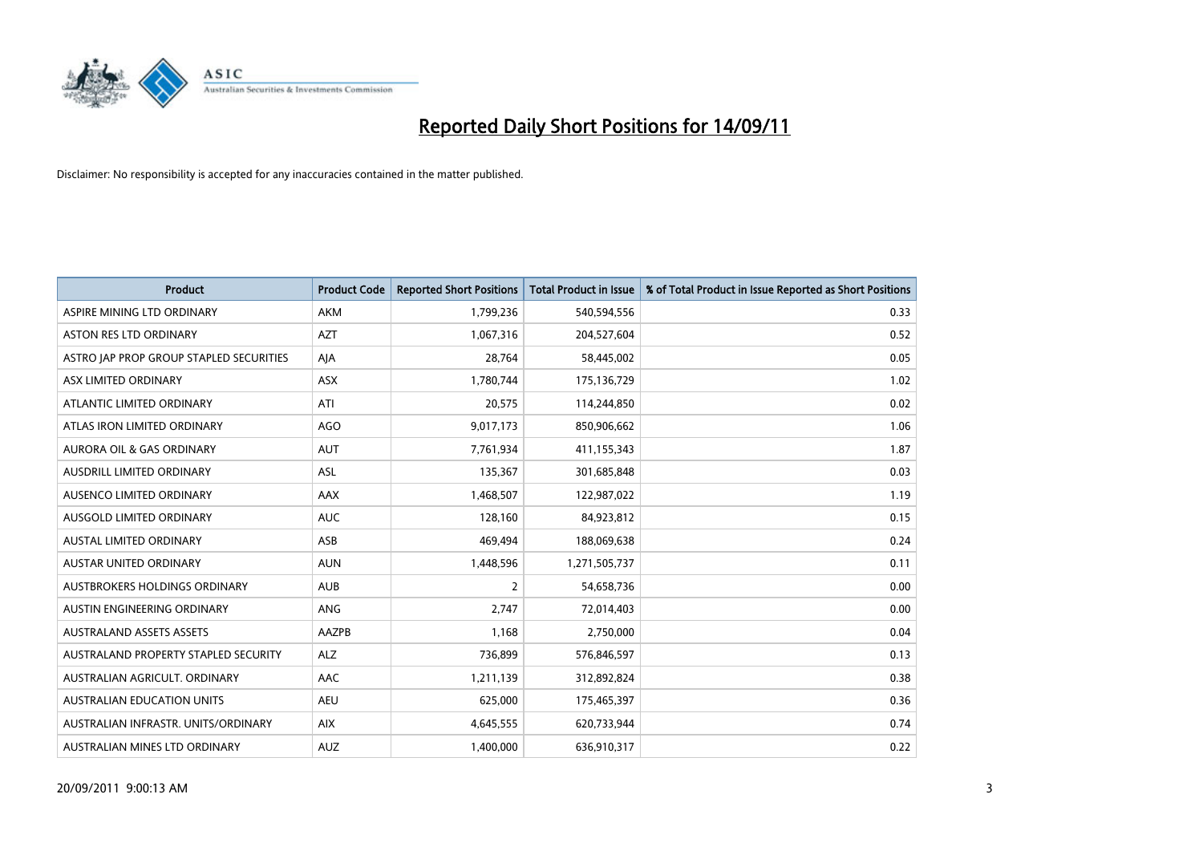

| <b>Product</b>                          | <b>Product Code</b> | <b>Reported Short Positions</b> | Total Product in Issue | % of Total Product in Issue Reported as Short Positions |
|-----------------------------------------|---------------------|---------------------------------|------------------------|---------------------------------------------------------|
| ASPIRE MINING LTD ORDINARY              | <b>AKM</b>          | 1,799,236                       | 540,594,556            | 0.33                                                    |
| <b>ASTON RES LTD ORDINARY</b>           | <b>AZT</b>          | 1,067,316                       | 204,527,604            | 0.52                                                    |
| ASTRO JAP PROP GROUP STAPLED SECURITIES | AJA                 | 28,764                          | 58,445,002             | 0.05                                                    |
| ASX LIMITED ORDINARY                    | ASX                 | 1,780,744                       | 175,136,729            | 1.02                                                    |
| ATLANTIC LIMITED ORDINARY               | ATI                 | 20,575                          | 114,244,850            | 0.02                                                    |
| ATLAS IRON LIMITED ORDINARY             | <b>AGO</b>          | 9,017,173                       | 850,906,662            | 1.06                                                    |
| <b>AURORA OIL &amp; GAS ORDINARY</b>    | <b>AUT</b>          | 7.761.934                       | 411,155,343            | 1.87                                                    |
| AUSDRILL LIMITED ORDINARY               | <b>ASL</b>          | 135,367                         | 301,685,848            | 0.03                                                    |
| AUSENCO LIMITED ORDINARY                | AAX                 | 1,468,507                       | 122,987,022            | 1.19                                                    |
| AUSGOLD LIMITED ORDINARY                | <b>AUC</b>          | 128.160                         | 84,923,812             | 0.15                                                    |
| AUSTAL LIMITED ORDINARY                 | ASB                 | 469,494                         | 188,069,638            | 0.24                                                    |
| <b>AUSTAR UNITED ORDINARY</b>           | <b>AUN</b>          | 1,448,596                       | 1,271,505,737          | 0.11                                                    |
| AUSTBROKERS HOLDINGS ORDINARY           | <b>AUB</b>          | $\overline{2}$                  | 54,658,736             | 0.00                                                    |
| AUSTIN ENGINEERING ORDINARY             | <b>ANG</b>          | 2.747                           | 72,014,403             | 0.00                                                    |
| <b>AUSTRALAND ASSETS ASSETS</b>         | <b>AAZPB</b>        | 1,168                           | 2,750,000              | 0.04                                                    |
| AUSTRALAND PROPERTY STAPLED SECURITY    | <b>ALZ</b>          | 736,899                         | 576,846,597            | 0.13                                                    |
| AUSTRALIAN AGRICULT, ORDINARY           | AAC                 | 1,211,139                       | 312,892,824            | 0.38                                                    |
| AUSTRALIAN EDUCATION UNITS              | <b>AEU</b>          | 625,000                         | 175,465,397            | 0.36                                                    |
| AUSTRALIAN INFRASTR. UNITS/ORDINARY     | <b>AIX</b>          | 4,645,555                       | 620,733,944            | 0.74                                                    |
| AUSTRALIAN MINES LTD ORDINARY           | <b>AUZ</b>          | 1.400.000                       | 636,910,317            | 0.22                                                    |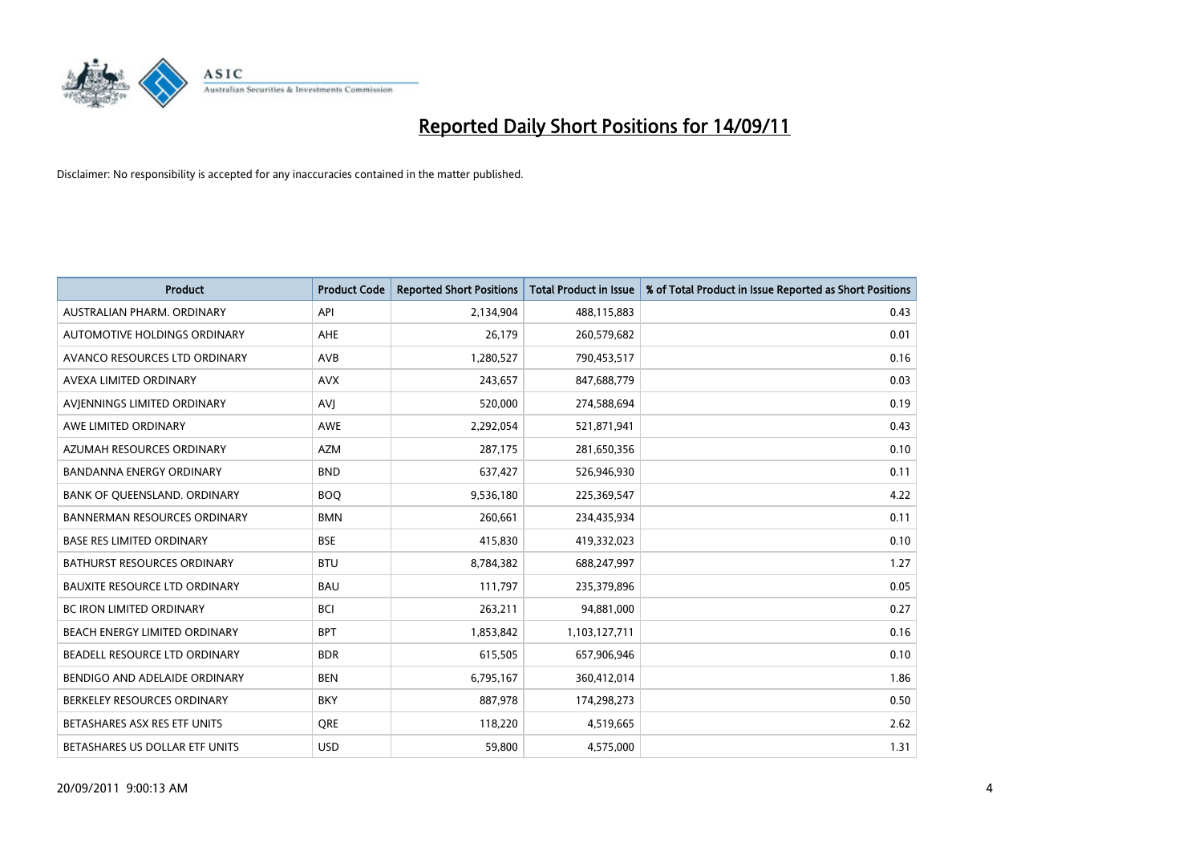

| <b>Product</b>                       | <b>Product Code</b> | <b>Reported Short Positions</b> | <b>Total Product in Issue</b> | % of Total Product in Issue Reported as Short Positions |
|--------------------------------------|---------------------|---------------------------------|-------------------------------|---------------------------------------------------------|
| AUSTRALIAN PHARM, ORDINARY           | API                 | 2,134,904                       | 488,115,883                   | 0.43                                                    |
| AUTOMOTIVE HOLDINGS ORDINARY         | <b>AHE</b>          | 26,179                          | 260,579,682                   | 0.01                                                    |
| AVANCO RESOURCES LTD ORDINARY        | <b>AVB</b>          | 1,280,527                       | 790,453,517                   | 0.16                                                    |
| AVEXA LIMITED ORDINARY               | <b>AVX</b>          | 243,657                         | 847,688,779                   | 0.03                                                    |
| AVIENNINGS LIMITED ORDINARY          | AVI                 | 520,000                         | 274,588,694                   | 0.19                                                    |
| AWE LIMITED ORDINARY                 | <b>AWE</b>          | 2,292,054                       | 521,871,941                   | 0.43                                                    |
| AZUMAH RESOURCES ORDINARY            | <b>AZM</b>          | 287,175                         | 281,650,356                   | 0.10                                                    |
| <b>BANDANNA ENERGY ORDINARY</b>      | <b>BND</b>          | 637,427                         | 526,946,930                   | 0.11                                                    |
| BANK OF QUEENSLAND. ORDINARY         | <b>BOQ</b>          | 9,536,180                       | 225,369,547                   | 4.22                                                    |
| <b>BANNERMAN RESOURCES ORDINARY</b>  | <b>BMN</b>          | 260,661                         | 234,435,934                   | 0.11                                                    |
| <b>BASE RES LIMITED ORDINARY</b>     | <b>BSE</b>          | 415,830                         | 419,332,023                   | 0.10                                                    |
| <b>BATHURST RESOURCES ORDINARY</b>   | <b>BTU</b>          | 8,784,382                       | 688,247,997                   | 1.27                                                    |
| <b>BAUXITE RESOURCE LTD ORDINARY</b> | <b>BAU</b>          | 111,797                         | 235,379,896                   | 0.05                                                    |
| <b>BC IRON LIMITED ORDINARY</b>      | <b>BCI</b>          | 263,211                         | 94,881,000                    | 0.27                                                    |
| <b>BEACH ENERGY LIMITED ORDINARY</b> | <b>BPT</b>          | 1,853,842                       | 1,103,127,711                 | 0.16                                                    |
| BEADELL RESOURCE LTD ORDINARY        | <b>BDR</b>          | 615,505                         | 657,906,946                   | 0.10                                                    |
| BENDIGO AND ADELAIDE ORDINARY        | <b>BEN</b>          | 6,795,167                       | 360,412,014                   | 1.86                                                    |
| BERKELEY RESOURCES ORDINARY          | <b>BKY</b>          | 887,978                         | 174,298,273                   | 0.50                                                    |
| BETASHARES ASX RES ETF UNITS         | <b>ORE</b>          | 118,220                         | 4,519,665                     | 2.62                                                    |
| BETASHARES US DOLLAR ETF UNITS       | <b>USD</b>          | 59,800                          | 4,575,000                     | 1.31                                                    |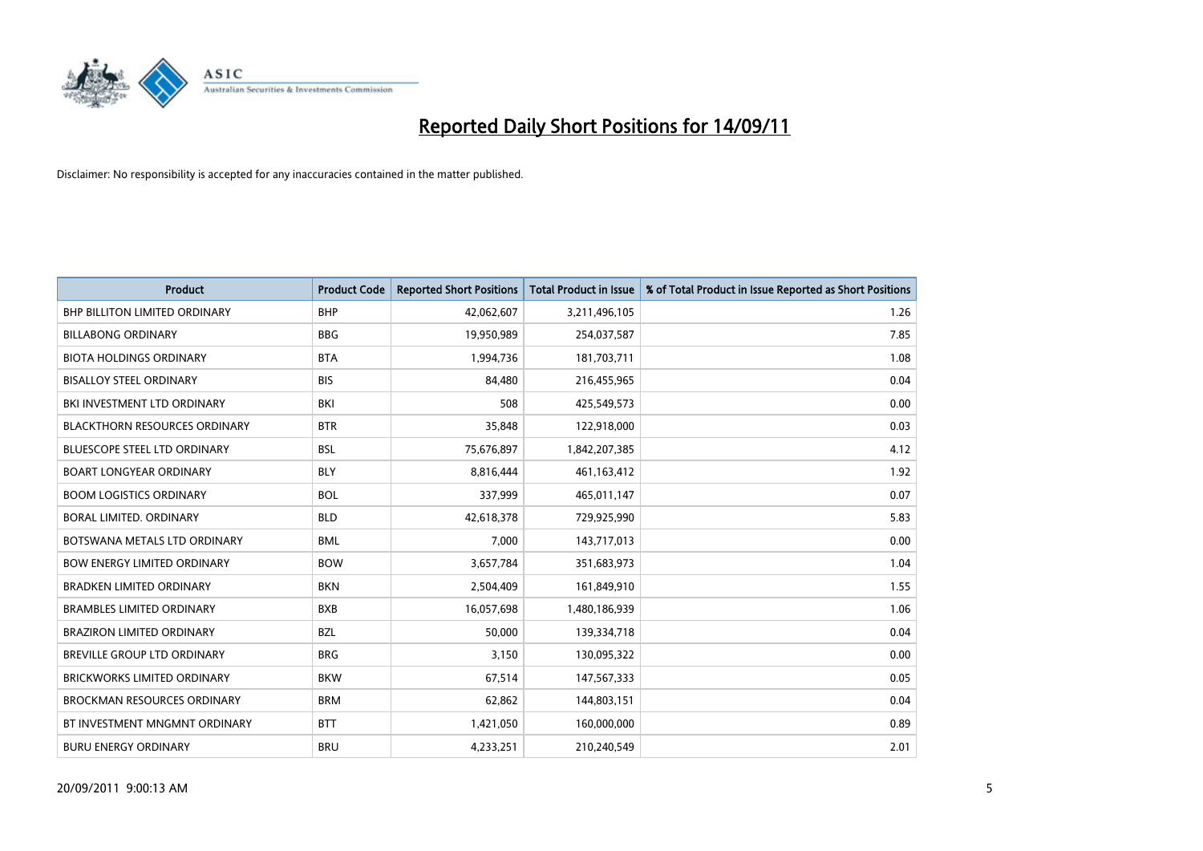

| <b>Product</b>                       | <b>Product Code</b> | <b>Reported Short Positions</b> | <b>Total Product in Issue</b> | % of Total Product in Issue Reported as Short Positions |
|--------------------------------------|---------------------|---------------------------------|-------------------------------|---------------------------------------------------------|
| <b>BHP BILLITON LIMITED ORDINARY</b> | <b>BHP</b>          | 42,062,607                      | 3,211,496,105                 | 1.26                                                    |
| <b>BILLABONG ORDINARY</b>            | <b>BBG</b>          | 19,950,989                      | 254,037,587                   | 7.85                                                    |
| <b>BIOTA HOLDINGS ORDINARY</b>       | <b>BTA</b>          | 1,994,736                       | 181,703,711                   | 1.08                                                    |
| <b>BISALLOY STEEL ORDINARY</b>       | <b>BIS</b>          | 84,480                          | 216,455,965                   | 0.04                                                    |
| BKI INVESTMENT LTD ORDINARY          | <b>BKI</b>          | 508                             | 425,549,573                   | 0.00                                                    |
| <b>BLACKTHORN RESOURCES ORDINARY</b> | <b>BTR</b>          | 35,848                          | 122,918,000                   | 0.03                                                    |
| <b>BLUESCOPE STEEL LTD ORDINARY</b>  | <b>BSL</b>          | 75,676,897                      | 1,842,207,385                 | 4.12                                                    |
| <b>BOART LONGYEAR ORDINARY</b>       | <b>BLY</b>          | 8,816,444                       | 461,163,412                   | 1.92                                                    |
| <b>BOOM LOGISTICS ORDINARY</b>       | <b>BOL</b>          | 337,999                         | 465,011,147                   | 0.07                                                    |
| BORAL LIMITED, ORDINARY              | <b>BLD</b>          | 42,618,378                      | 729,925,990                   | 5.83                                                    |
| BOTSWANA METALS LTD ORDINARY         | <b>BML</b>          | 7,000                           | 143,717,013                   | 0.00                                                    |
| <b>BOW ENERGY LIMITED ORDINARY</b>   | <b>BOW</b>          | 3,657,784                       | 351,683,973                   | 1.04                                                    |
| <b>BRADKEN LIMITED ORDINARY</b>      | <b>BKN</b>          | 2,504,409                       | 161,849,910                   | 1.55                                                    |
| <b>BRAMBLES LIMITED ORDINARY</b>     | <b>BXB</b>          | 16,057,698                      | 1,480,186,939                 | 1.06                                                    |
| <b>BRAZIRON LIMITED ORDINARY</b>     | <b>BZL</b>          | 50.000                          | 139,334,718                   | 0.04                                                    |
| BREVILLE GROUP LTD ORDINARY          | <b>BRG</b>          | 3,150                           | 130,095,322                   | 0.00                                                    |
| <b>BRICKWORKS LIMITED ORDINARY</b>   | <b>BKW</b>          | 67,514                          | 147,567,333                   | 0.05                                                    |
| <b>BROCKMAN RESOURCES ORDINARY</b>   | <b>BRM</b>          | 62,862                          | 144,803,151                   | 0.04                                                    |
| BT INVESTMENT MNGMNT ORDINARY        | <b>BTT</b>          | 1,421,050                       | 160,000,000                   | 0.89                                                    |
| <b>BURU ENERGY ORDINARY</b>          | <b>BRU</b>          | 4.233.251                       | 210,240,549                   | 2.01                                                    |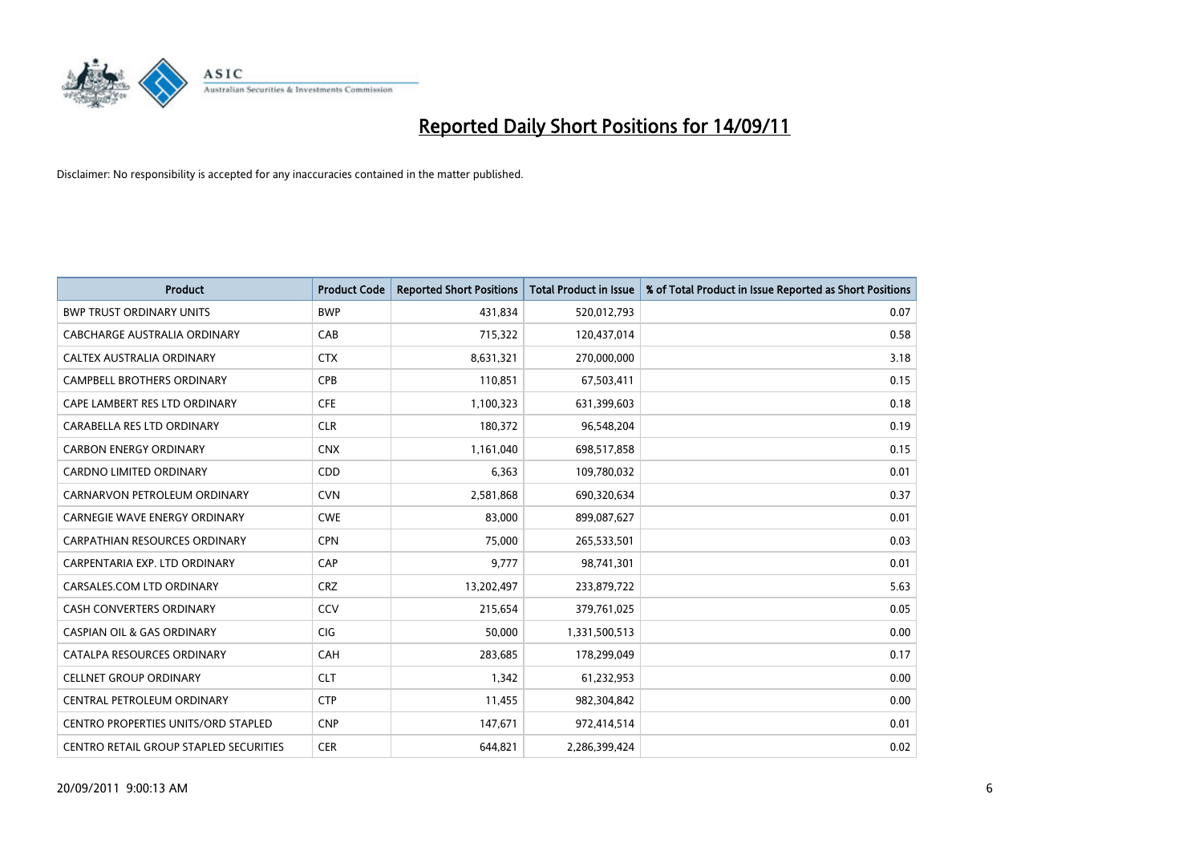

| <b>Product</b>                                | <b>Product Code</b> | <b>Reported Short Positions</b> | Total Product in Issue | % of Total Product in Issue Reported as Short Positions |
|-----------------------------------------------|---------------------|---------------------------------|------------------------|---------------------------------------------------------|
| <b>BWP TRUST ORDINARY UNITS</b>               | <b>BWP</b>          | 431,834                         | 520,012,793            | 0.07                                                    |
| CABCHARGE AUSTRALIA ORDINARY                  | CAB                 | 715,322                         | 120,437,014            | 0.58                                                    |
| CALTEX AUSTRALIA ORDINARY                     | <b>CTX</b>          | 8,631,321                       | 270,000,000            | 3.18                                                    |
| CAMPBELL BROTHERS ORDINARY                    | <b>CPB</b>          | 110,851                         | 67,503,411             | 0.15                                                    |
| CAPE LAMBERT RES LTD ORDINARY                 | <b>CFE</b>          | 1,100,323                       | 631,399,603            | 0.18                                                    |
| CARABELLA RES LTD ORDINARY                    | <b>CLR</b>          | 180,372                         | 96,548,204             | 0.19                                                    |
| <b>CARBON ENERGY ORDINARY</b>                 | <b>CNX</b>          | 1,161,040                       | 698,517,858            | 0.15                                                    |
| CARDNO LIMITED ORDINARY                       | <b>CDD</b>          | 6,363                           | 109,780,032            | 0.01                                                    |
| CARNARVON PETROLEUM ORDINARY                  | <b>CVN</b>          | 2,581,868                       | 690,320,634            | 0.37                                                    |
| CARNEGIE WAVE ENERGY ORDINARY                 | <b>CWE</b>          | 83,000                          | 899,087,627            | 0.01                                                    |
| CARPATHIAN RESOURCES ORDINARY                 | <b>CPN</b>          | 75,000                          | 265,533,501            | 0.03                                                    |
| CARPENTARIA EXP. LTD ORDINARY                 | CAP                 | 9.777                           | 98,741,301             | 0.01                                                    |
| CARSALES.COM LTD ORDINARY                     | <b>CRZ</b>          | 13,202,497                      | 233,879,722            | 5.63                                                    |
| <b>CASH CONVERTERS ORDINARY</b>               | CCV                 | 215,654                         | 379,761,025            | 0.05                                                    |
| <b>CASPIAN OIL &amp; GAS ORDINARY</b>         | <b>CIG</b>          | 50,000                          | 1,331,500,513          | 0.00                                                    |
| CATALPA RESOURCES ORDINARY                    | CAH                 | 283,685                         | 178,299,049            | 0.17                                                    |
| <b>CELLNET GROUP ORDINARY</b>                 | <b>CLT</b>          | 1,342                           | 61,232,953             | 0.00                                                    |
| CENTRAL PETROLEUM ORDINARY                    | <b>CTP</b>          | 11,455                          | 982,304,842            | 0.00                                                    |
| <b>CENTRO PROPERTIES UNITS/ORD STAPLED</b>    | <b>CNP</b>          | 147,671                         | 972,414,514            | 0.01                                                    |
| <b>CENTRO RETAIL GROUP STAPLED SECURITIES</b> | <b>CER</b>          | 644.821                         | 2,286,399,424          | 0.02                                                    |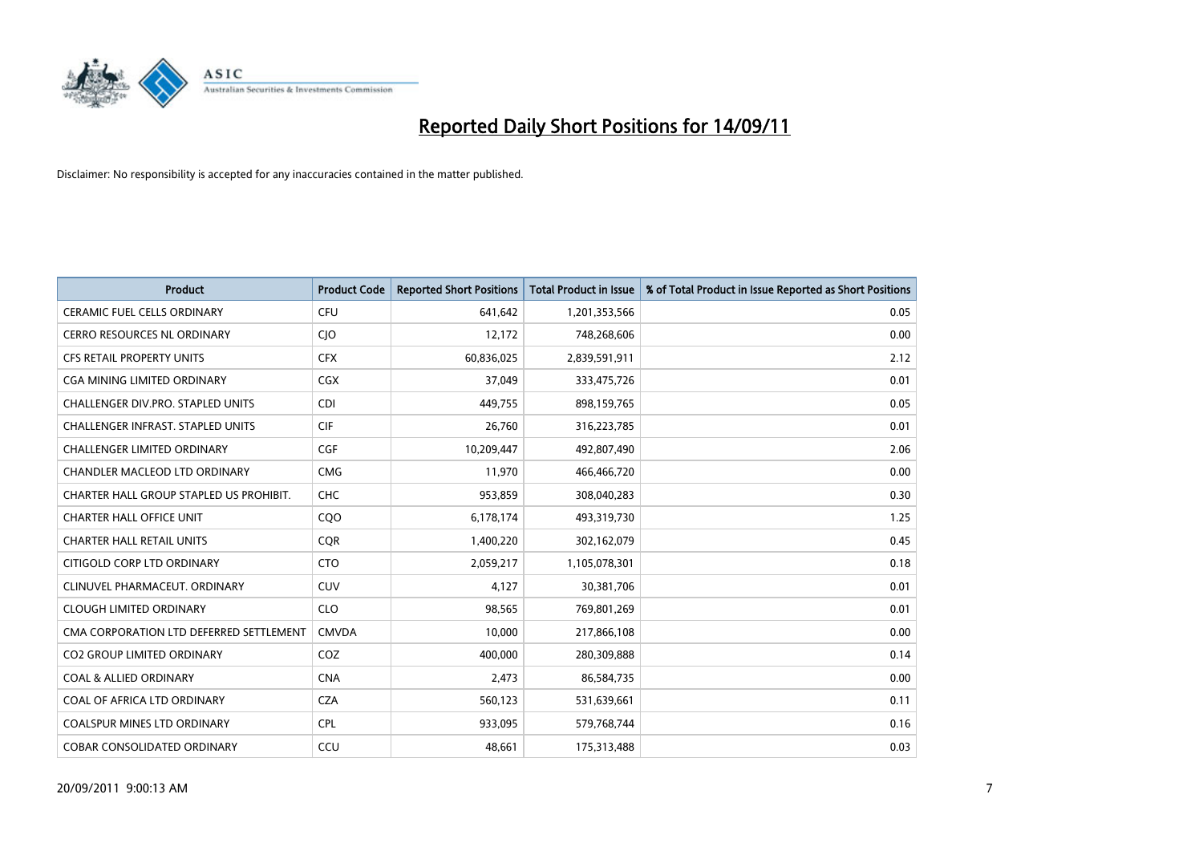

| <b>Product</b>                           | <b>Product Code</b> | <b>Reported Short Positions</b> | Total Product in Issue | % of Total Product in Issue Reported as Short Positions |
|------------------------------------------|---------------------|---------------------------------|------------------------|---------------------------------------------------------|
| <b>CERAMIC FUEL CELLS ORDINARY</b>       | <b>CFU</b>          | 641,642                         | 1,201,353,566          | 0.05                                                    |
| <b>CERRO RESOURCES NL ORDINARY</b>       | <b>CIO</b>          | 12,172                          | 748,268,606            | 0.00                                                    |
| <b>CFS RETAIL PROPERTY UNITS</b>         | <b>CFX</b>          | 60,836,025                      | 2,839,591,911          | 2.12                                                    |
| CGA MINING LIMITED ORDINARY              | <b>CGX</b>          | 37,049                          | 333,475,726            | 0.01                                                    |
| CHALLENGER DIV.PRO. STAPLED UNITS        | CDI                 | 449.755                         | 898,159,765            | 0.05                                                    |
| <b>CHALLENGER INFRAST. STAPLED UNITS</b> | <b>CIF</b>          | 26,760                          | 316,223,785            | 0.01                                                    |
| <b>CHALLENGER LIMITED ORDINARY</b>       | <b>CGF</b>          | 10.209.447                      | 492.807.490            | 2.06                                                    |
| <b>CHANDLER MACLEOD LTD ORDINARY</b>     | <b>CMG</b>          | 11,970                          | 466,466,720            | 0.00                                                    |
| CHARTER HALL GROUP STAPLED US PROHIBIT.  | <b>CHC</b>          | 953,859                         | 308,040,283            | 0.30                                                    |
| <b>CHARTER HALL OFFICE UNIT</b>          | COO                 | 6,178,174                       | 493,319,730            | 1.25                                                    |
| <b>CHARTER HALL RETAIL UNITS</b>         | <b>COR</b>          | 1,400,220                       | 302,162,079            | 0.45                                                    |
| CITIGOLD CORP LTD ORDINARY               | <b>CTO</b>          | 2,059,217                       | 1,105,078,301          | 0.18                                                    |
| CLINUVEL PHARMACEUT, ORDINARY            | CUV                 | 4.127                           | 30,381,706             | 0.01                                                    |
| <b>CLOUGH LIMITED ORDINARY</b>           | <b>CLO</b>          | 98.565                          | 769,801,269            | 0.01                                                    |
| CMA CORPORATION LTD DEFERRED SETTLEMENT  | <b>CMVDA</b>        | 10,000                          | 217,866,108            | 0.00                                                    |
| <b>CO2 GROUP LIMITED ORDINARY</b>        | COZ                 | 400.000                         | 280,309,888            | 0.14                                                    |
| <b>COAL &amp; ALLIED ORDINARY</b>        | <b>CNA</b>          | 2,473                           | 86,584,735             | 0.00                                                    |
| COAL OF AFRICA LTD ORDINARY              | <b>CZA</b>          | 560,123                         | 531,639,661            | 0.11                                                    |
| <b>COALSPUR MINES LTD ORDINARY</b>       | <b>CPL</b>          | 933,095                         | 579,768,744            | 0.16                                                    |
| <b>COBAR CONSOLIDATED ORDINARY</b>       | CCU                 | 48.661                          | 175,313,488            | 0.03                                                    |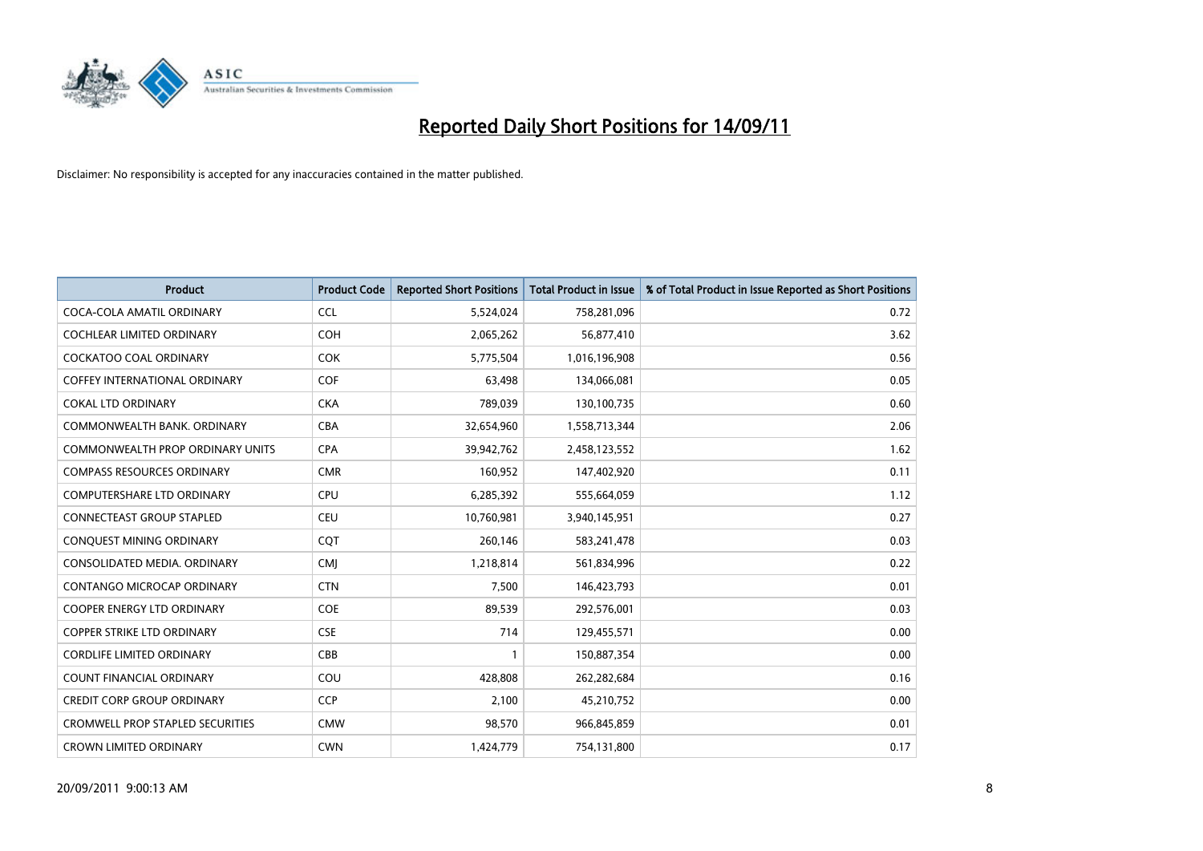

| <b>Product</b>                          | <b>Product Code</b> | <b>Reported Short Positions</b> | Total Product in Issue | % of Total Product in Issue Reported as Short Positions |
|-----------------------------------------|---------------------|---------------------------------|------------------------|---------------------------------------------------------|
| COCA-COLA AMATIL ORDINARY               | <b>CCL</b>          | 5,524,024                       | 758,281,096            | 0.72                                                    |
| COCHLEAR LIMITED ORDINARY               | <b>COH</b>          | 2,065,262                       | 56,877,410             | 3.62                                                    |
| <b>COCKATOO COAL ORDINARY</b>           | <b>COK</b>          | 5,775,504                       | 1,016,196,908          | 0.56                                                    |
| <b>COFFEY INTERNATIONAL ORDINARY</b>    | <b>COF</b>          | 63,498                          | 134,066,081            | 0.05                                                    |
| <b>COKAL LTD ORDINARY</b>               | <b>CKA</b>          | 789,039                         | 130,100,735            | 0.60                                                    |
| COMMONWEALTH BANK, ORDINARY             | <b>CBA</b>          | 32,654,960                      | 1,558,713,344          | 2.06                                                    |
| <b>COMMONWEALTH PROP ORDINARY UNITS</b> | <b>CPA</b>          | 39,942,762                      | 2,458,123,552          | 1.62                                                    |
| <b>COMPASS RESOURCES ORDINARY</b>       | <b>CMR</b>          | 160,952                         | 147,402,920            | 0.11                                                    |
| COMPUTERSHARE LTD ORDINARY              | <b>CPU</b>          | 6,285,392                       | 555,664,059            | 1.12                                                    |
| <b>CONNECTEAST GROUP STAPLED</b>        | <b>CEU</b>          | 10,760,981                      | 3,940,145,951          | 0.27                                                    |
| CONQUEST MINING ORDINARY                | CQT                 | 260,146                         | 583,241,478            | 0.03                                                    |
| CONSOLIDATED MEDIA, ORDINARY            | <b>CMI</b>          | 1,218,814                       | 561,834,996            | 0.22                                                    |
| <b>CONTANGO MICROCAP ORDINARY</b>       | <b>CTN</b>          | 7,500                           | 146,423,793            | 0.01                                                    |
| <b>COOPER ENERGY LTD ORDINARY</b>       | COE                 | 89,539                          | 292,576,001            | 0.03                                                    |
| <b>COPPER STRIKE LTD ORDINARY</b>       | <b>CSE</b>          | 714                             | 129,455,571            | 0.00                                                    |
| <b>CORDLIFE LIMITED ORDINARY</b>        | CBB                 |                                 | 150,887,354            | 0.00                                                    |
| <b>COUNT FINANCIAL ORDINARY</b>         | COU                 | 428,808                         | 262,282,684            | 0.16                                                    |
| <b>CREDIT CORP GROUP ORDINARY</b>       | <b>CCP</b>          | 2,100                           | 45,210,752             | 0.00                                                    |
| <b>CROMWELL PROP STAPLED SECURITIES</b> | <b>CMW</b>          | 98,570                          | 966,845,859            | 0.01                                                    |
| <b>CROWN LIMITED ORDINARY</b>           | <b>CWN</b>          | 1,424,779                       | 754,131,800            | 0.17                                                    |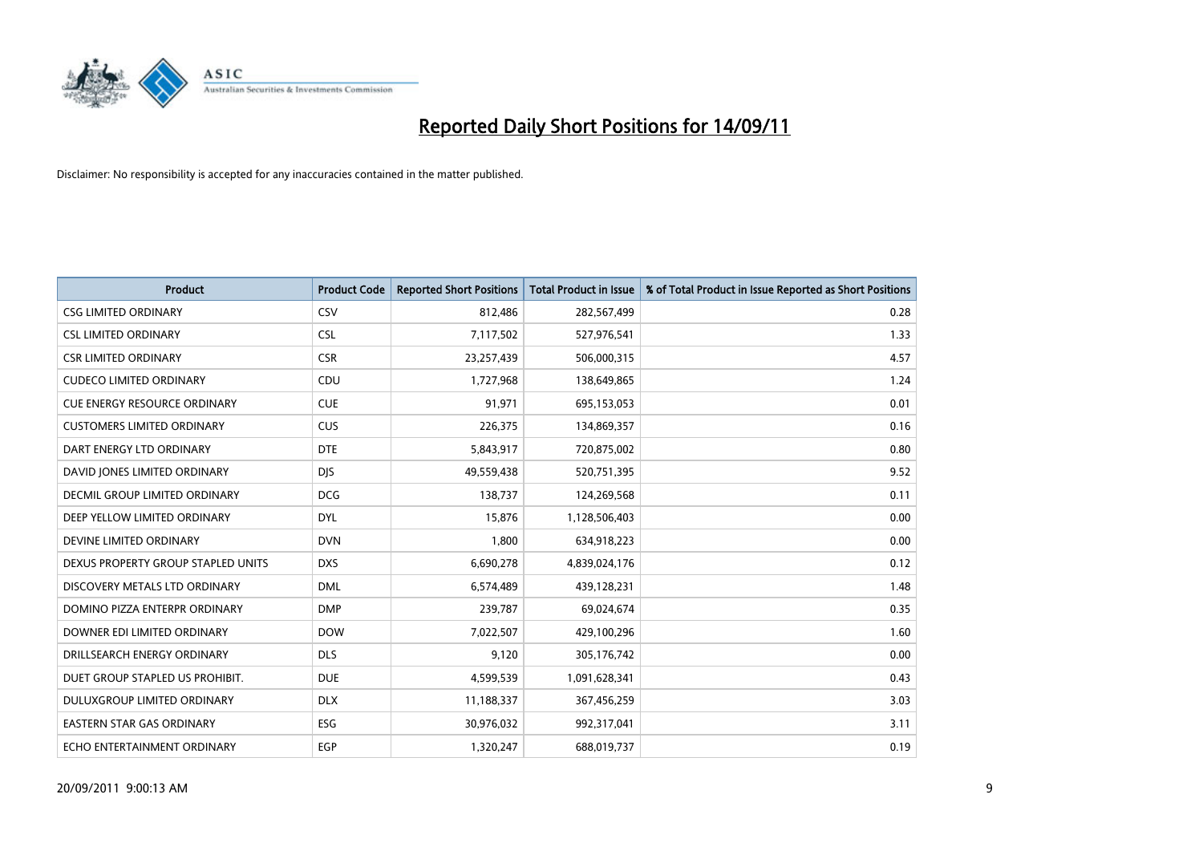

| <b>Product</b>                      | <b>Product Code</b> | <b>Reported Short Positions</b> | Total Product in Issue | % of Total Product in Issue Reported as Short Positions |
|-------------------------------------|---------------------|---------------------------------|------------------------|---------------------------------------------------------|
| <b>CSG LIMITED ORDINARY</b>         | CSV                 | 812,486                         | 282,567,499            | 0.28                                                    |
| <b>CSL LIMITED ORDINARY</b>         | <b>CSL</b>          | 7,117,502                       | 527,976,541            | 1.33                                                    |
| <b>CSR LIMITED ORDINARY</b>         | <b>CSR</b>          | 23,257,439                      | 506,000,315            | 4.57                                                    |
| <b>CUDECO LIMITED ORDINARY</b>      | CDU                 | 1,727,968                       | 138,649,865            | 1.24                                                    |
| <b>CUE ENERGY RESOURCE ORDINARY</b> | <b>CUE</b>          | 91,971                          | 695,153,053            | 0.01                                                    |
| <b>CUSTOMERS LIMITED ORDINARY</b>   | <b>CUS</b>          | 226,375                         | 134,869,357            | 0.16                                                    |
| DART ENERGY LTD ORDINARY            | <b>DTE</b>          | 5,843,917                       | 720,875,002            | 0.80                                                    |
| DAVID JONES LIMITED ORDINARY        | <b>DJS</b>          | 49,559,438                      | 520,751,395            | 9.52                                                    |
| DECMIL GROUP LIMITED ORDINARY       | <b>DCG</b>          | 138,737                         | 124,269,568            | 0.11                                                    |
| DEEP YELLOW LIMITED ORDINARY        | <b>DYL</b>          | 15,876                          | 1,128,506,403          | 0.00                                                    |
| DEVINE LIMITED ORDINARY             | <b>DVN</b>          | 1,800                           | 634,918,223            | 0.00                                                    |
| DEXUS PROPERTY GROUP STAPLED UNITS  | <b>DXS</b>          | 6,690,278                       | 4,839,024,176          | 0.12                                                    |
| DISCOVERY METALS LTD ORDINARY       | <b>DML</b>          | 6,574,489                       | 439,128,231            | 1.48                                                    |
| DOMINO PIZZA ENTERPR ORDINARY       | <b>DMP</b>          | 239,787                         | 69,024,674             | 0.35                                                    |
| DOWNER EDI LIMITED ORDINARY         | <b>DOW</b>          | 7,022,507                       | 429,100,296            | 1.60                                                    |
| DRILLSEARCH ENERGY ORDINARY         | <b>DLS</b>          | 9.120                           | 305,176,742            | 0.00                                                    |
| DUET GROUP STAPLED US PROHIBIT.     | <b>DUE</b>          | 4,599,539                       | 1,091,628,341          | 0.43                                                    |
| DULUXGROUP LIMITED ORDINARY         | <b>DLX</b>          | 11,188,337                      | 367,456,259            | 3.03                                                    |
| <b>EASTERN STAR GAS ORDINARY</b>    | ESG                 | 30,976,032                      | 992,317,041            | 3.11                                                    |
| ECHO ENTERTAINMENT ORDINARY         | EGP                 | 1,320,247                       | 688,019,737            | 0.19                                                    |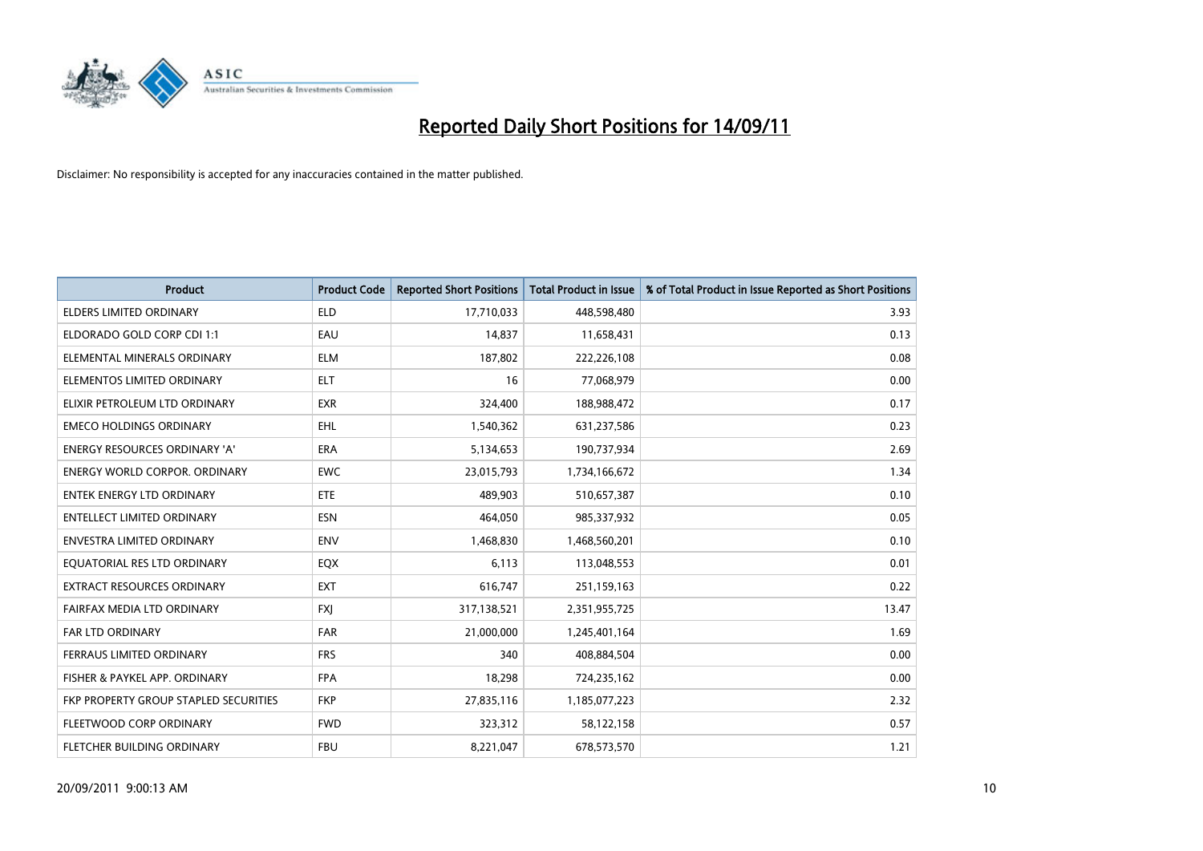

| <b>Product</b>                        | <b>Product Code</b> | <b>Reported Short Positions</b> | Total Product in Issue | % of Total Product in Issue Reported as Short Positions |
|---------------------------------------|---------------------|---------------------------------|------------------------|---------------------------------------------------------|
| <b>ELDERS LIMITED ORDINARY</b>        | <b>ELD</b>          | 17,710,033                      | 448,598,480            | 3.93                                                    |
| ELDORADO GOLD CORP CDI 1:1            | EAU                 | 14,837                          | 11,658,431             | 0.13                                                    |
| ELEMENTAL MINERALS ORDINARY           | <b>ELM</b>          | 187,802                         | 222,226,108            | 0.08                                                    |
| ELEMENTOS LIMITED ORDINARY            | <b>ELT</b>          | 16                              | 77,068,979             | 0.00                                                    |
| ELIXIR PETROLEUM LTD ORDINARY         | <b>EXR</b>          | 324,400                         | 188,988,472            | 0.17                                                    |
| <b>EMECO HOLDINGS ORDINARY</b>        | <b>EHL</b>          | 1,540,362                       | 631,237,586            | 0.23                                                    |
| ENERGY RESOURCES ORDINARY 'A'         | <b>ERA</b>          | 5,134,653                       | 190,737,934            | 2.69                                                    |
| <b>ENERGY WORLD CORPOR. ORDINARY</b>  | <b>EWC</b>          | 23,015,793                      | 1,734,166,672          | 1.34                                                    |
| <b>ENTEK ENERGY LTD ORDINARY</b>      | <b>ETE</b>          | 489.903                         | 510,657,387            | 0.10                                                    |
| <b>ENTELLECT LIMITED ORDINARY</b>     | <b>ESN</b>          | 464,050                         | 985,337,932            | 0.05                                                    |
| <b>ENVESTRA LIMITED ORDINARY</b>      | <b>ENV</b>          | 1,468,830                       | 1,468,560,201          | 0.10                                                    |
| EQUATORIAL RES LTD ORDINARY           | EQX                 | 6,113                           | 113,048,553            | 0.01                                                    |
| <b>EXTRACT RESOURCES ORDINARY</b>     | <b>EXT</b>          | 616,747                         | 251,159,163            | 0.22                                                    |
| FAIRFAX MEDIA LTD ORDINARY            | <b>FXI</b>          | 317,138,521                     | 2,351,955,725          | 13.47                                                   |
| FAR LTD ORDINARY                      | <b>FAR</b>          | 21,000,000                      | 1,245,401,164          | 1.69                                                    |
| FERRAUS LIMITED ORDINARY              | <b>FRS</b>          | 340                             | 408,884,504            | 0.00                                                    |
| FISHER & PAYKEL APP. ORDINARY         | <b>FPA</b>          | 18,298                          | 724,235,162            | 0.00                                                    |
| FKP PROPERTY GROUP STAPLED SECURITIES | <b>FKP</b>          | 27,835,116                      | 1,185,077,223          | 2.32                                                    |
| FLEETWOOD CORP ORDINARY               | <b>FWD</b>          | 323,312                         | 58,122,158             | 0.57                                                    |
| <b>FLETCHER BUILDING ORDINARY</b>     | <b>FBU</b>          | 8,221,047                       | 678,573,570            | 1.21                                                    |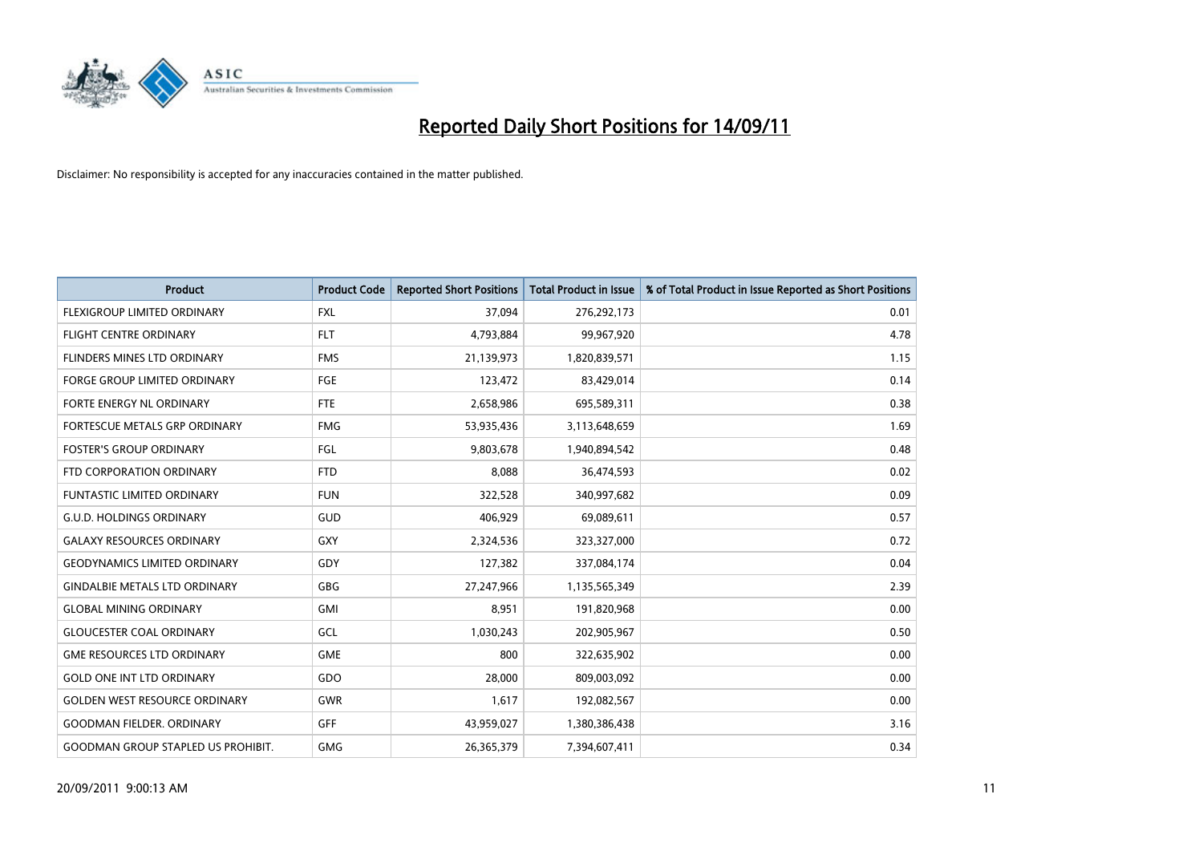

| <b>Product</b>                            | <b>Product Code</b> | <b>Reported Short Positions</b> | Total Product in Issue | % of Total Product in Issue Reported as Short Positions |
|-------------------------------------------|---------------------|---------------------------------|------------------------|---------------------------------------------------------|
| FLEXIGROUP LIMITED ORDINARY               | <b>FXL</b>          | 37,094                          | 276,292,173            | 0.01                                                    |
| FLIGHT CENTRE ORDINARY                    | <b>FLT</b>          | 4,793,884                       | 99,967,920             | 4.78                                                    |
| FLINDERS MINES LTD ORDINARY               | <b>FMS</b>          | 21,139,973                      | 1,820,839,571          | 1.15                                                    |
| FORGE GROUP LIMITED ORDINARY              | FGE                 | 123,472                         | 83,429,014             | 0.14                                                    |
| FORTE ENERGY NL ORDINARY                  | <b>FTE</b>          | 2,658,986                       | 695,589,311            | 0.38                                                    |
| FORTESCUE METALS GRP ORDINARY             | <b>FMG</b>          | 53,935,436                      | 3,113,648,659          | 1.69                                                    |
| <b>FOSTER'S GROUP ORDINARY</b>            | <b>FGL</b>          | 9,803,678                       | 1,940,894,542          | 0.48                                                    |
| FTD CORPORATION ORDINARY                  | <b>FTD</b>          | 8,088                           | 36,474,593             | 0.02                                                    |
| FUNTASTIC LIMITED ORDINARY                | <b>FUN</b>          | 322,528                         | 340,997,682            | 0.09                                                    |
| <b>G.U.D. HOLDINGS ORDINARY</b>           | GUD                 | 406,929                         | 69,089,611             | 0.57                                                    |
| <b>GALAXY RESOURCES ORDINARY</b>          | <b>GXY</b>          | 2,324,536                       | 323,327,000            | 0.72                                                    |
| <b>GEODYNAMICS LIMITED ORDINARY</b>       | GDY                 | 127,382                         | 337,084,174            | 0.04                                                    |
| <b>GINDALBIE METALS LTD ORDINARY</b>      | <b>GBG</b>          | 27,247,966                      | 1,135,565,349          | 2.39                                                    |
| <b>GLOBAL MINING ORDINARY</b>             | <b>GMI</b>          | 8,951                           | 191,820,968            | 0.00                                                    |
| <b>GLOUCESTER COAL ORDINARY</b>           | GCL                 | 1,030,243                       | 202,905,967            | 0.50                                                    |
| <b>GME RESOURCES LTD ORDINARY</b>         | <b>GME</b>          | 800                             | 322,635,902            | 0.00                                                    |
| <b>GOLD ONE INT LTD ORDINARY</b>          | GDO                 | 28,000                          | 809,003,092            | 0.00                                                    |
| <b>GOLDEN WEST RESOURCE ORDINARY</b>      | <b>GWR</b>          | 1,617                           | 192,082,567            | 0.00                                                    |
| <b>GOODMAN FIELDER, ORDINARY</b>          | <b>GFF</b>          | 43,959,027                      | 1,380,386,438          | 3.16                                                    |
| <b>GOODMAN GROUP STAPLED US PROHIBIT.</b> | <b>GMG</b>          | 26,365,379                      | 7,394,607,411          | 0.34                                                    |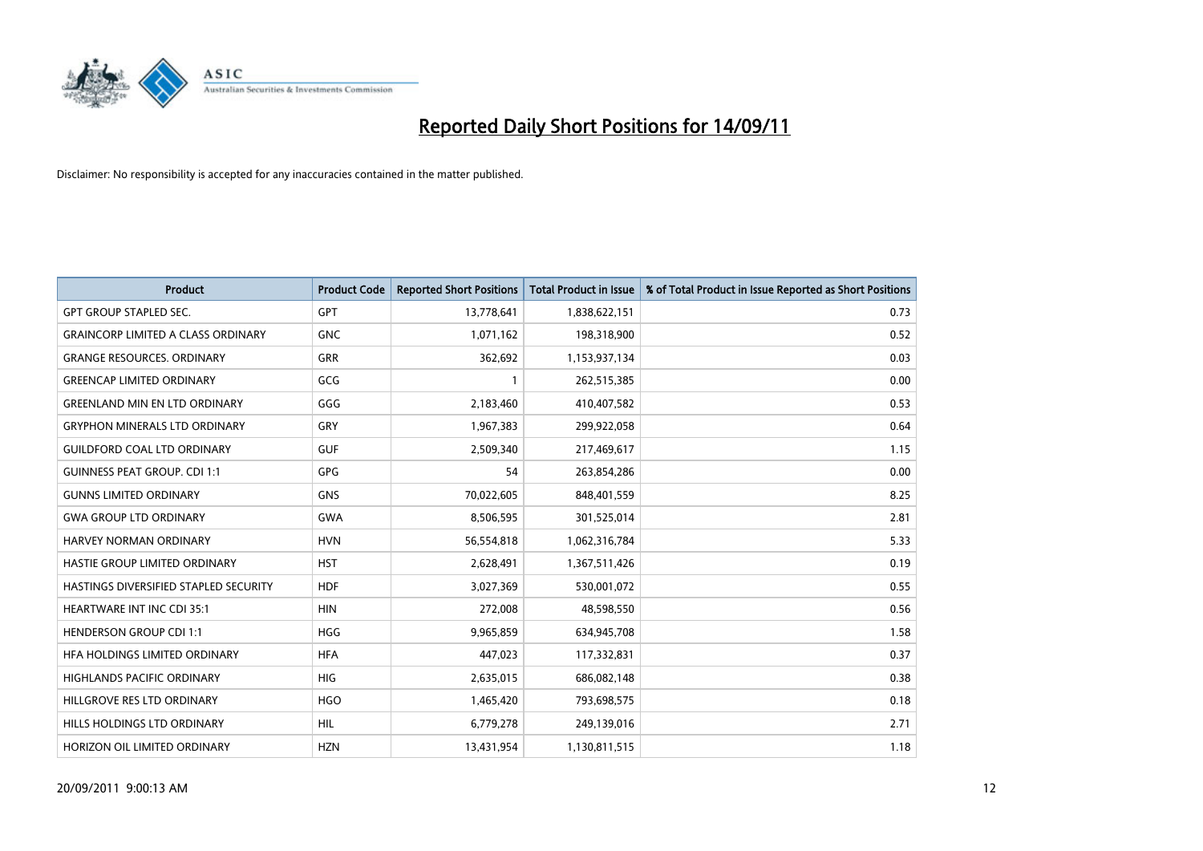

| <b>Product</b>                            | <b>Product Code</b> | <b>Reported Short Positions</b> | Total Product in Issue | % of Total Product in Issue Reported as Short Positions |
|-------------------------------------------|---------------------|---------------------------------|------------------------|---------------------------------------------------------|
| <b>GPT GROUP STAPLED SEC.</b>             | <b>GPT</b>          | 13,778,641                      | 1,838,622,151          | 0.73                                                    |
| <b>GRAINCORP LIMITED A CLASS ORDINARY</b> | <b>GNC</b>          | 1,071,162                       | 198,318,900            | 0.52                                                    |
| <b>GRANGE RESOURCES, ORDINARY</b>         | <b>GRR</b>          | 362,692                         | 1,153,937,134          | 0.03                                                    |
| <b>GREENCAP LIMITED ORDINARY</b>          | GCG                 |                                 | 262,515,385            | 0.00                                                    |
| <b>GREENLAND MIN EN LTD ORDINARY</b>      | GGG                 | 2,183,460                       | 410,407,582            | 0.53                                                    |
| <b>GRYPHON MINERALS LTD ORDINARY</b>      | GRY                 | 1,967,383                       | 299,922,058            | 0.64                                                    |
| <b>GUILDFORD COAL LTD ORDINARY</b>        | <b>GUF</b>          | 2,509,340                       | 217,469,617            | 1.15                                                    |
| <b>GUINNESS PEAT GROUP. CDI 1:1</b>       | GPG                 | 54                              | 263,854,286            | 0.00                                                    |
| <b>GUNNS LIMITED ORDINARY</b>             | <b>GNS</b>          | 70,022,605                      | 848,401,559            | 8.25                                                    |
| <b>GWA GROUP LTD ORDINARY</b>             | <b>GWA</b>          | 8,506,595                       | 301,525,014            | 2.81                                                    |
| HARVEY NORMAN ORDINARY                    | <b>HVN</b>          | 56,554,818                      | 1,062,316,784          | 5.33                                                    |
| HASTIE GROUP LIMITED ORDINARY             | <b>HST</b>          | 2,628,491                       | 1,367,511,426          | 0.19                                                    |
| HASTINGS DIVERSIFIED STAPLED SECURITY     | <b>HDF</b>          | 3,027,369                       | 530,001,072            | 0.55                                                    |
| <b>HEARTWARE INT INC CDI 35:1</b>         | <b>HIN</b>          | 272,008                         | 48,598,550             | 0.56                                                    |
| <b>HENDERSON GROUP CDI 1:1</b>            | <b>HGG</b>          | 9,965,859                       | 634,945,708            | 1.58                                                    |
| HFA HOLDINGS LIMITED ORDINARY             | <b>HFA</b>          | 447,023                         | 117,332,831            | 0.37                                                    |
| <b>HIGHLANDS PACIFIC ORDINARY</b>         | <b>HIG</b>          | 2,635,015                       | 686,082,148            | 0.38                                                    |
| HILLGROVE RES LTD ORDINARY                | <b>HGO</b>          | 1,465,420                       | 793,698,575            | 0.18                                                    |
| HILLS HOLDINGS LTD ORDINARY               | <b>HIL</b>          | 6,779,278                       | 249,139,016            | 2.71                                                    |
| HORIZON OIL LIMITED ORDINARY              | <b>HZN</b>          | 13.431.954                      | 1,130,811,515          | 1.18                                                    |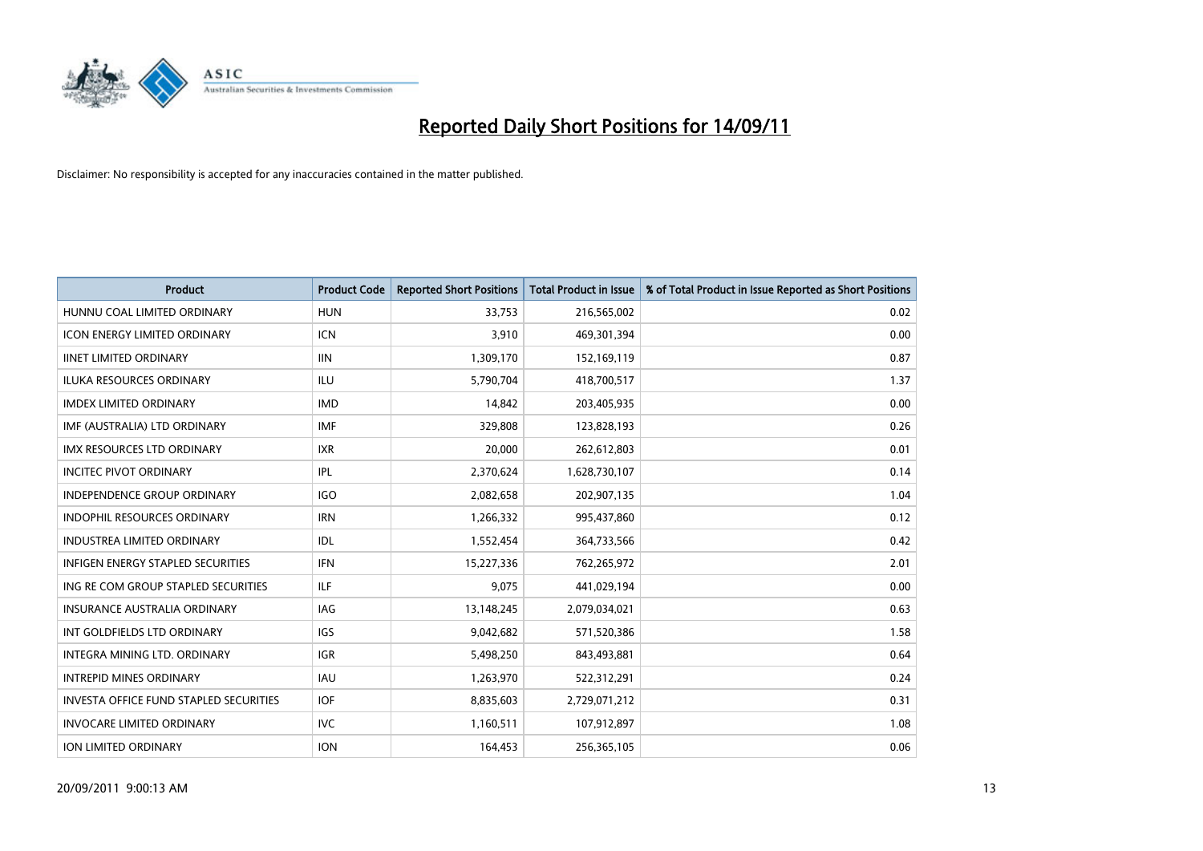

| <b>Product</b>                           | <b>Product Code</b> | <b>Reported Short Positions</b> | Total Product in Issue | % of Total Product in Issue Reported as Short Positions |
|------------------------------------------|---------------------|---------------------------------|------------------------|---------------------------------------------------------|
| HUNNU COAL LIMITED ORDINARY              | <b>HUN</b>          | 33,753                          | 216,565,002            | 0.02                                                    |
| ICON ENERGY LIMITED ORDINARY             | <b>ICN</b>          | 3,910                           | 469,301,394            | 0.00                                                    |
| <b>IINET LIMITED ORDINARY</b>            | <b>IIN</b>          | 1,309,170                       | 152,169,119            | 0.87                                                    |
| ILUKA RESOURCES ORDINARY                 | ILU                 | 5,790,704                       | 418,700,517            | 1.37                                                    |
| <b>IMDEX LIMITED ORDINARY</b>            | <b>IMD</b>          | 14.842                          | 203,405,935            | 0.00                                                    |
| IMF (AUSTRALIA) LTD ORDINARY             | <b>IMF</b>          | 329,808                         | 123,828,193            | 0.26                                                    |
| <b>IMX RESOURCES LTD ORDINARY</b>        | <b>IXR</b>          | 20.000                          | 262,612,803            | 0.01                                                    |
| <b>INCITEC PIVOT ORDINARY</b>            | <b>IPL</b>          | 2,370,624                       | 1,628,730,107          | 0.14                                                    |
| INDEPENDENCE GROUP ORDINARY              | <b>IGO</b>          | 2,082,658                       | 202,907,135            | 1.04                                                    |
| <b>INDOPHIL RESOURCES ORDINARY</b>       | <b>IRN</b>          | 1,266,332                       | 995,437,860            | 0.12                                                    |
| <b>INDUSTREA LIMITED ORDINARY</b>        | <b>IDL</b>          | 1,552,454                       | 364,733,566            | 0.42                                                    |
| <b>INFIGEN ENERGY STAPLED SECURITIES</b> | <b>IFN</b>          | 15,227,336                      | 762,265,972            | 2.01                                                    |
| ING RE COM GROUP STAPLED SECURITIES      | <b>ILF</b>          | 9,075                           | 441,029,194            | 0.00                                                    |
| <b>INSURANCE AUSTRALIA ORDINARY</b>      | IAG                 | 13,148,245                      | 2,079,034,021          | 0.63                                                    |
| INT GOLDFIELDS LTD ORDINARY              | <b>IGS</b>          | 9,042,682                       | 571,520,386            | 1.58                                                    |
| INTEGRA MINING LTD. ORDINARY             | IGR                 | 5,498,250                       | 843,493,881            | 0.64                                                    |
| <b>INTREPID MINES ORDINARY</b>           | <b>IAU</b>          | 1,263,970                       | 522,312,291            | 0.24                                                    |
| INVESTA OFFICE FUND STAPLED SECURITIES   | <b>IOF</b>          | 8,835,603                       | 2,729,071,212          | 0.31                                                    |
| <b>INVOCARE LIMITED ORDINARY</b>         | <b>IVC</b>          | 1,160,511                       | 107,912,897            | 1.08                                                    |
| <b>ION LIMITED ORDINARY</b>              | <b>ION</b>          | 164,453                         | 256,365,105            | 0.06                                                    |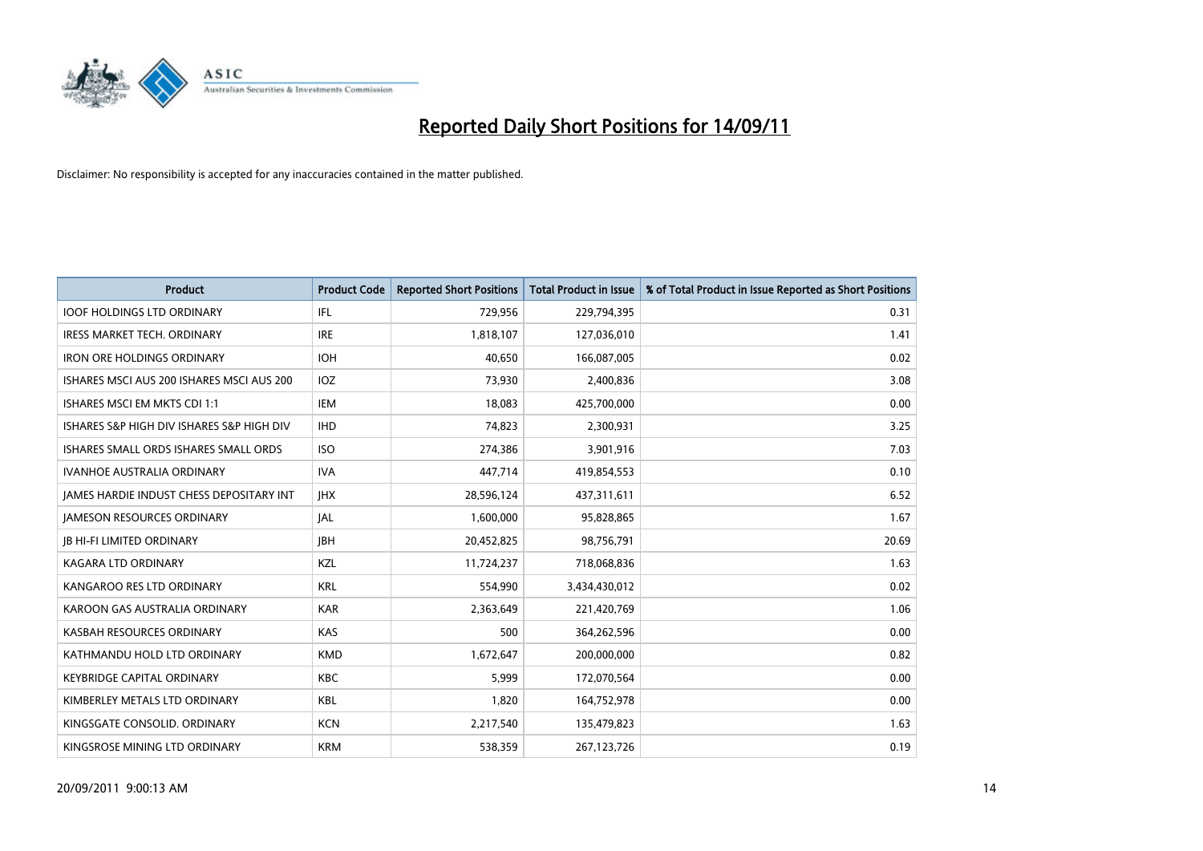

| <b>Product</b>                            | <b>Product Code</b> | <b>Reported Short Positions</b> | Total Product in Issue | % of Total Product in Issue Reported as Short Positions |
|-------------------------------------------|---------------------|---------------------------------|------------------------|---------------------------------------------------------|
| <b>IOOF HOLDINGS LTD ORDINARY</b>         | <b>IFL</b>          | 729,956                         | 229,794,395            | 0.31                                                    |
| IRESS MARKET TECH. ORDINARY               | <b>IRE</b>          | 1,818,107                       | 127,036,010            | 1.41                                                    |
| <b>IRON ORE HOLDINGS ORDINARY</b>         | <b>IOH</b>          | 40.650                          | 166,087,005            | 0.02                                                    |
| ISHARES MSCI AUS 200 ISHARES MSCI AUS 200 | IOZ                 | 73,930                          | 2,400,836              | 3.08                                                    |
| ISHARES MSCI EM MKTS CDI 1:1              | IEM                 | 18,083                          | 425,700,000            | 0.00                                                    |
| ISHARES S&P HIGH DIV ISHARES S&P HIGH DIV | <b>IHD</b>          | 74.823                          | 2,300,931              | 3.25                                                    |
| ISHARES SMALL ORDS ISHARES SMALL ORDS     | <b>ISO</b>          | 274,386                         | 3,901,916              | 7.03                                                    |
| <b>IVANHOE AUSTRALIA ORDINARY</b>         | <b>IVA</b>          | 447,714                         | 419,854,553            | 0.10                                                    |
| JAMES HARDIE INDUST CHESS DEPOSITARY INT  | <b>IHX</b>          | 28,596,124                      | 437,311,611            | 6.52                                                    |
| <b>JAMESON RESOURCES ORDINARY</b>         | <b>JAL</b>          | 1,600,000                       | 95,828,865             | 1.67                                                    |
| <b>JB HI-FI LIMITED ORDINARY</b>          | <b>IBH</b>          | 20,452,825                      | 98,756,791             | 20.69                                                   |
| <b>KAGARA LTD ORDINARY</b>                | KZL                 | 11,724,237                      | 718,068,836            | 1.63                                                    |
| KANGAROO RES LTD ORDINARY                 | <b>KRL</b>          | 554.990                         | 3,434,430,012          | 0.02                                                    |
| KAROON GAS AUSTRALIA ORDINARY             | <b>KAR</b>          | 2,363,649                       | 221,420,769            | 1.06                                                    |
| KASBAH RESOURCES ORDINARY                 | <b>KAS</b>          | 500                             | 364,262,596            | 0.00                                                    |
| KATHMANDU HOLD LTD ORDINARY               | <b>KMD</b>          | 1,672,647                       | 200,000,000            | 0.82                                                    |
| <b>KEYBRIDGE CAPITAL ORDINARY</b>         | <b>KBC</b>          | 5,999                           | 172,070,564            | 0.00                                                    |
| KIMBERLEY METALS LTD ORDINARY             | <b>KBL</b>          | 1,820                           | 164,752,978            | 0.00                                                    |
| KINGSGATE CONSOLID, ORDINARY              | <b>KCN</b>          | 2,217,540                       | 135,479,823            | 1.63                                                    |
| KINGSROSE MINING LTD ORDINARY             | <b>KRM</b>          | 538,359                         | 267,123,726            | 0.19                                                    |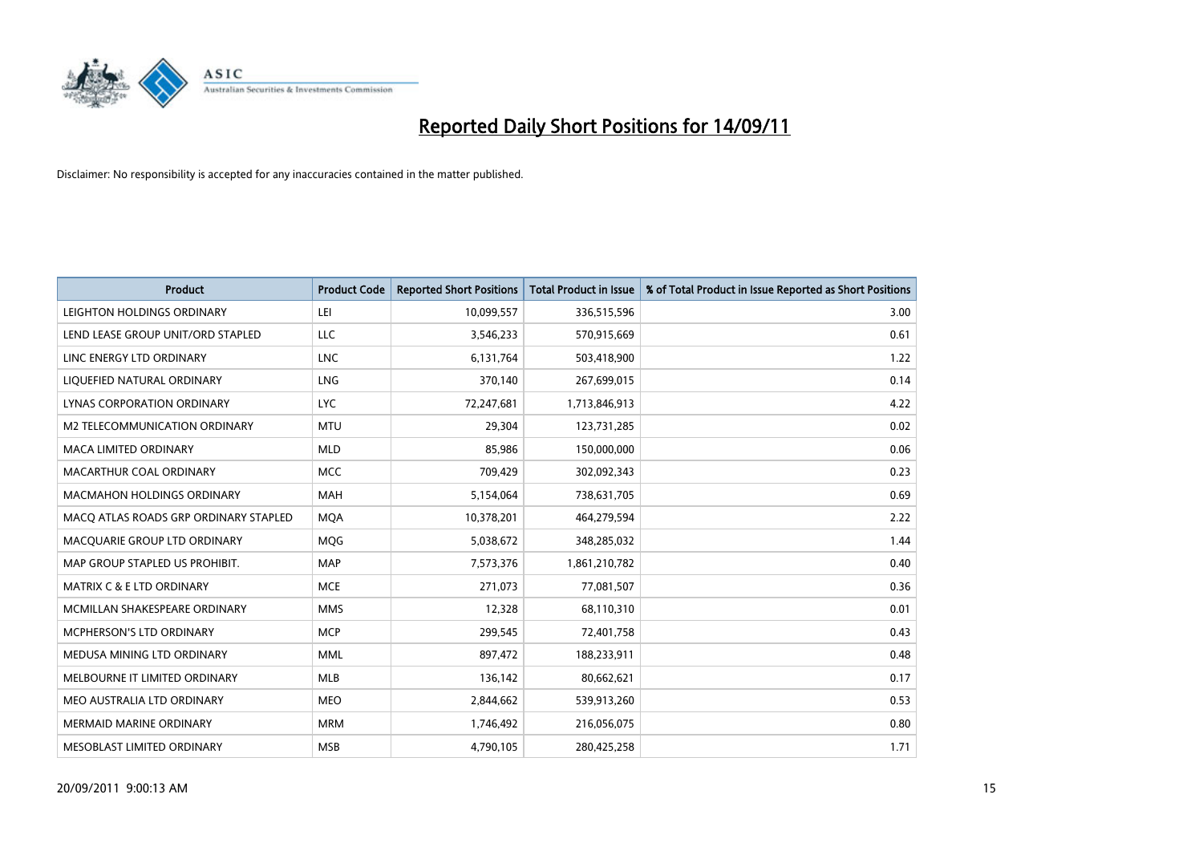

| <b>Product</b>                        | <b>Product Code</b> | <b>Reported Short Positions</b> | Total Product in Issue | % of Total Product in Issue Reported as Short Positions |
|---------------------------------------|---------------------|---------------------------------|------------------------|---------------------------------------------------------|
| LEIGHTON HOLDINGS ORDINARY            | LEI                 | 10,099,557                      | 336,515,596            | 3.00                                                    |
| LEND LEASE GROUP UNIT/ORD STAPLED     | LLC                 | 3,546,233                       | 570,915,669            | 0.61                                                    |
| LINC ENERGY LTD ORDINARY              | <b>LNC</b>          | 6,131,764                       | 503,418,900            | 1.22                                                    |
| LIQUEFIED NATURAL ORDINARY            | <b>LNG</b>          | 370,140                         | 267,699,015            | 0.14                                                    |
| LYNAS CORPORATION ORDINARY            | <b>LYC</b>          | 72,247,681                      | 1,713,846,913          | 4.22                                                    |
| M2 TELECOMMUNICATION ORDINARY         | <b>MTU</b>          | 29,304                          | 123,731,285            | 0.02                                                    |
| <b>MACA LIMITED ORDINARY</b>          | <b>MLD</b>          | 85,986                          | 150,000,000            | 0.06                                                    |
| MACARTHUR COAL ORDINARY               | <b>MCC</b>          | 709,429                         | 302,092,343            | 0.23                                                    |
| <b>MACMAHON HOLDINGS ORDINARY</b>     | <b>MAH</b>          | 5,154,064                       | 738,631,705            | 0.69                                                    |
| MACO ATLAS ROADS GRP ORDINARY STAPLED | <b>MOA</b>          | 10,378,201                      | 464,279,594            | 2.22                                                    |
| MACQUARIE GROUP LTD ORDINARY          | MQG                 | 5,038,672                       | 348,285,032            | 1.44                                                    |
| MAP GROUP STAPLED US PROHIBIT.        | <b>MAP</b>          | 7,573,376                       | 1,861,210,782          | 0.40                                                    |
| <b>MATRIX C &amp; E LTD ORDINARY</b>  | <b>MCE</b>          | 271,073                         | 77,081,507             | 0.36                                                    |
| MCMILLAN SHAKESPEARE ORDINARY         | <b>MMS</b>          | 12,328                          | 68,110,310             | 0.01                                                    |
| <b>MCPHERSON'S LTD ORDINARY</b>       | <b>MCP</b>          | 299,545                         | 72,401,758             | 0.43                                                    |
| MEDUSA MINING LTD ORDINARY            | <b>MML</b>          | 897,472                         | 188,233,911            | 0.48                                                    |
| MELBOURNE IT LIMITED ORDINARY         | <b>MLB</b>          | 136,142                         | 80,662,621             | 0.17                                                    |
| MEO AUSTRALIA LTD ORDINARY            | <b>MEO</b>          | 2,844,662                       | 539,913,260            | 0.53                                                    |
| MERMAID MARINE ORDINARY               | <b>MRM</b>          | 1,746,492                       | 216,056,075            | 0.80                                                    |
| MESOBLAST LIMITED ORDINARY            | <b>MSB</b>          | 4,790,105                       | 280,425,258            | 1.71                                                    |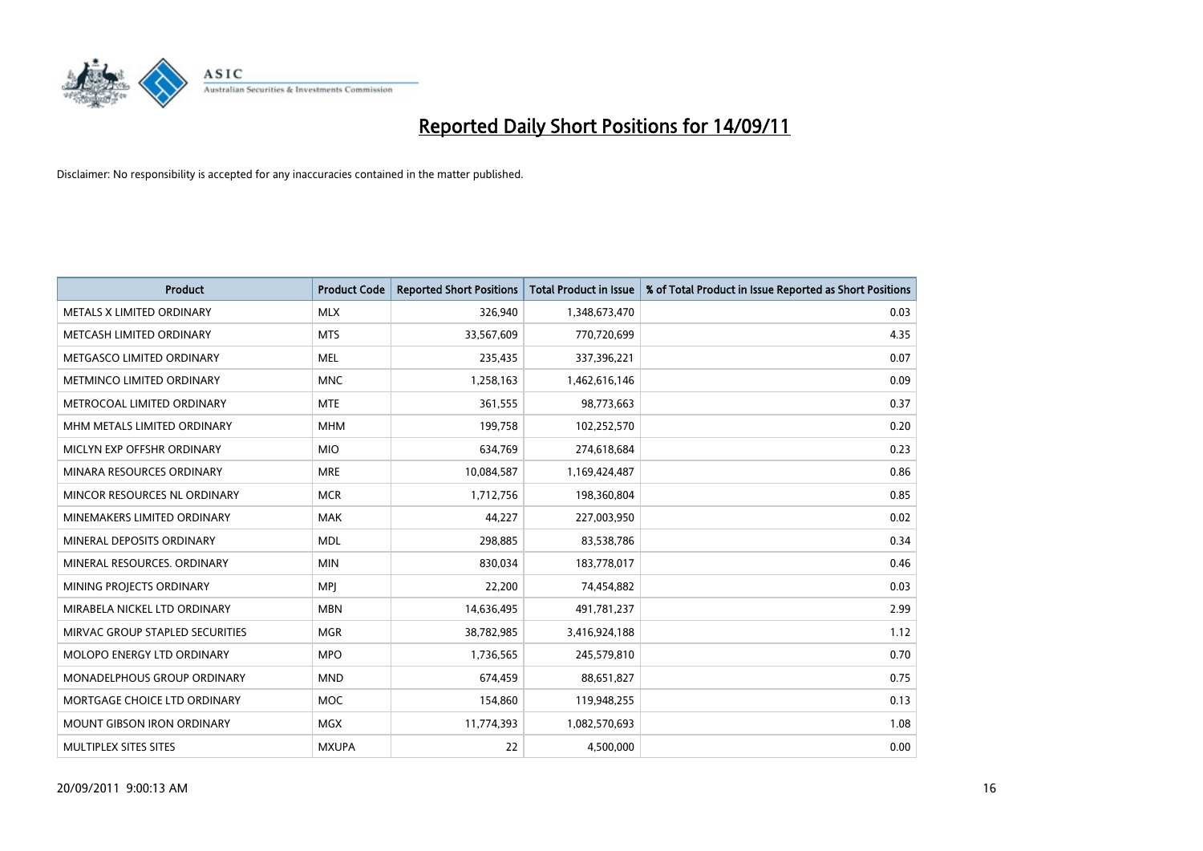

| <b>Product</b>                    | <b>Product Code</b> | <b>Reported Short Positions</b> | <b>Total Product in Issue</b> | % of Total Product in Issue Reported as Short Positions |
|-----------------------------------|---------------------|---------------------------------|-------------------------------|---------------------------------------------------------|
| METALS X LIMITED ORDINARY         | <b>MLX</b>          | 326,940                         | 1,348,673,470                 | 0.03                                                    |
| METCASH LIMITED ORDINARY          | <b>MTS</b>          | 33,567,609                      | 770,720,699                   | 4.35                                                    |
| METGASCO LIMITED ORDINARY         | <b>MEL</b>          | 235,435                         | 337,396,221                   | 0.07                                                    |
| METMINCO LIMITED ORDINARY         | <b>MNC</b>          | 1,258,163                       | 1,462,616,146                 | 0.09                                                    |
| METROCOAL LIMITED ORDINARY        | <b>MTE</b>          | 361,555                         | 98,773,663                    | 0.37                                                    |
| MHM METALS LIMITED ORDINARY       | <b>MHM</b>          | 199,758                         | 102,252,570                   | 0.20                                                    |
| MICLYN EXP OFFSHR ORDINARY        | <b>MIO</b>          | 634,769                         | 274,618,684                   | 0.23                                                    |
| MINARA RESOURCES ORDINARY         | <b>MRE</b>          | 10,084,587                      | 1,169,424,487                 | 0.86                                                    |
| MINCOR RESOURCES NL ORDINARY      | <b>MCR</b>          | 1,712,756                       | 198,360,804                   | 0.85                                                    |
| MINEMAKERS LIMITED ORDINARY       | <b>MAK</b>          | 44,227                          | 227,003,950                   | 0.02                                                    |
| MINERAL DEPOSITS ORDINARY         | <b>MDL</b>          | 298,885                         | 83,538,786                    | 0.34                                                    |
| MINERAL RESOURCES, ORDINARY       | <b>MIN</b>          | 830,034                         | 183,778,017                   | 0.46                                                    |
| MINING PROJECTS ORDINARY          | <b>MPI</b>          | 22,200                          | 74,454,882                    | 0.03                                                    |
| MIRABELA NICKEL LTD ORDINARY      | <b>MBN</b>          | 14,636,495                      | 491,781,237                   | 2.99                                                    |
| MIRVAC GROUP STAPLED SECURITIES   | <b>MGR</b>          | 38,782,985                      | 3,416,924,188                 | 1.12                                                    |
| MOLOPO ENERGY LTD ORDINARY        | <b>MPO</b>          | 1,736,565                       | 245,579,810                   | 0.70                                                    |
| MONADELPHOUS GROUP ORDINARY       | <b>MND</b>          | 674,459                         | 88,651,827                    | 0.75                                                    |
| MORTGAGE CHOICE LTD ORDINARY      | <b>MOC</b>          | 154,860                         | 119,948,255                   | 0.13                                                    |
| <b>MOUNT GIBSON IRON ORDINARY</b> | <b>MGX</b>          | 11,774,393                      | 1,082,570,693                 | 1.08                                                    |
| MULTIPLEX SITES SITES             | <b>MXUPA</b>        | 22                              | 4,500,000                     | 0.00                                                    |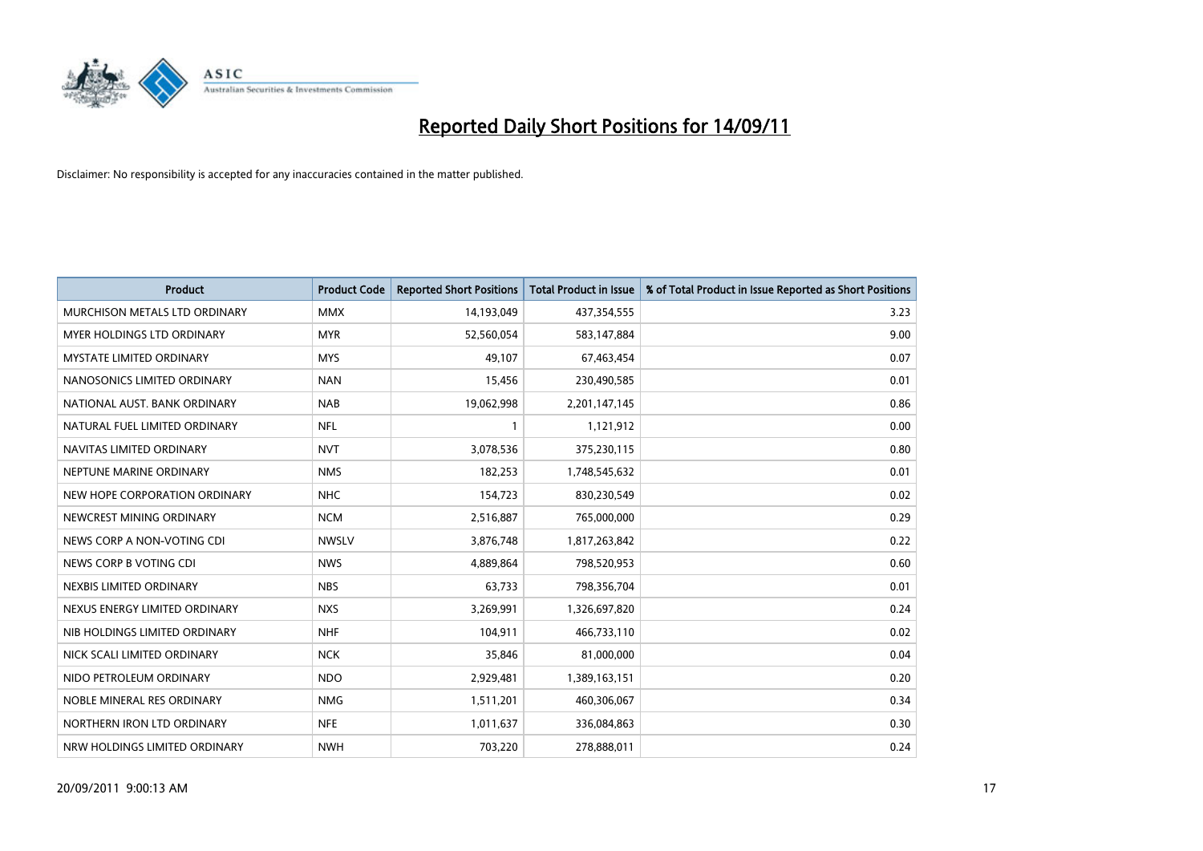

| <b>Product</b>                  | <b>Product Code</b> | <b>Reported Short Positions</b> | <b>Total Product in Issue</b> | % of Total Product in Issue Reported as Short Positions |
|---------------------------------|---------------------|---------------------------------|-------------------------------|---------------------------------------------------------|
| MURCHISON METALS LTD ORDINARY   | <b>MMX</b>          | 14,193,049                      | 437,354,555                   | 3.23                                                    |
| MYER HOLDINGS LTD ORDINARY      | <b>MYR</b>          | 52,560,054                      | 583,147,884                   | 9.00                                                    |
| <b>MYSTATE LIMITED ORDINARY</b> | <b>MYS</b>          | 49.107                          | 67,463,454                    | 0.07                                                    |
| NANOSONICS LIMITED ORDINARY     | <b>NAN</b>          | 15,456                          | 230,490,585                   | 0.01                                                    |
| NATIONAL AUST. BANK ORDINARY    | <b>NAB</b>          | 19,062,998                      | 2,201,147,145                 | 0.86                                                    |
| NATURAL FUEL LIMITED ORDINARY   | <b>NFL</b>          |                                 | 1,121,912                     | 0.00                                                    |
| NAVITAS LIMITED ORDINARY        | <b>NVT</b>          | 3,078,536                       | 375,230,115                   | 0.80                                                    |
| NEPTUNE MARINE ORDINARY         | <b>NMS</b>          | 182,253                         | 1,748,545,632                 | 0.01                                                    |
| NEW HOPE CORPORATION ORDINARY   | <b>NHC</b>          | 154,723                         | 830,230,549                   | 0.02                                                    |
| NEWCREST MINING ORDINARY        | <b>NCM</b>          | 2,516,887                       | 765,000,000                   | 0.29                                                    |
| NEWS CORP A NON-VOTING CDI      | <b>NWSLV</b>        | 3,876,748                       | 1,817,263,842                 | 0.22                                                    |
| NEWS CORP B VOTING CDI          | <b>NWS</b>          | 4,889,864                       | 798,520,953                   | 0.60                                                    |
| NEXBIS LIMITED ORDINARY         | <b>NBS</b>          | 63,733                          | 798,356,704                   | 0.01                                                    |
| NEXUS ENERGY LIMITED ORDINARY   | <b>NXS</b>          | 3,269,991                       | 1,326,697,820                 | 0.24                                                    |
| NIB HOLDINGS LIMITED ORDINARY   | <b>NHF</b>          | 104,911                         | 466,733,110                   | 0.02                                                    |
| NICK SCALI LIMITED ORDINARY     | <b>NCK</b>          | 35,846                          | 81,000,000                    | 0.04                                                    |
| NIDO PETROLEUM ORDINARY         | <b>NDO</b>          | 2,929,481                       | 1,389,163,151                 | 0.20                                                    |
| NOBLE MINERAL RES ORDINARY      | <b>NMG</b>          | 1,511,201                       | 460,306,067                   | 0.34                                                    |
| NORTHERN IRON LTD ORDINARY      | <b>NFE</b>          | 1,011,637                       | 336,084,863                   | 0.30                                                    |
| NRW HOLDINGS LIMITED ORDINARY   | <b>NWH</b>          | 703,220                         | 278,888,011                   | 0.24                                                    |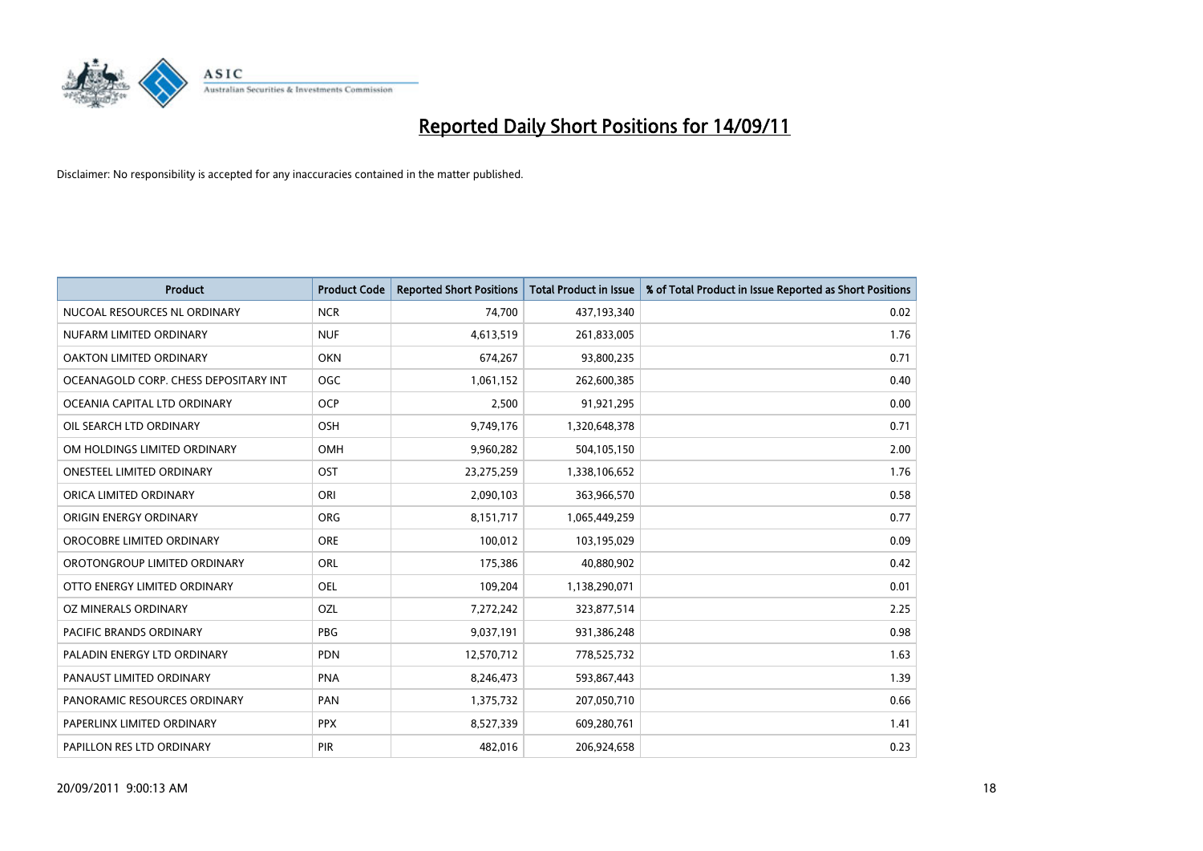

| <b>Product</b>                        | <b>Product Code</b> | <b>Reported Short Positions</b> | Total Product in Issue | % of Total Product in Issue Reported as Short Positions |
|---------------------------------------|---------------------|---------------------------------|------------------------|---------------------------------------------------------|
| NUCOAL RESOURCES NL ORDINARY          | <b>NCR</b>          | 74,700                          | 437,193,340            | 0.02                                                    |
| NUFARM LIMITED ORDINARY               | <b>NUF</b>          | 4,613,519                       | 261,833,005            | 1.76                                                    |
| OAKTON LIMITED ORDINARY               | <b>OKN</b>          | 674,267                         | 93,800,235             | 0.71                                                    |
| OCEANAGOLD CORP. CHESS DEPOSITARY INT | <b>OGC</b>          | 1,061,152                       | 262,600,385            | 0.40                                                    |
| OCEANIA CAPITAL LTD ORDINARY          | <b>OCP</b>          | 2,500                           | 91,921,295             | 0.00                                                    |
| OIL SEARCH LTD ORDINARY               | OSH                 | 9,749,176                       | 1,320,648,378          | 0.71                                                    |
| OM HOLDINGS LIMITED ORDINARY          | OMH                 | 9,960,282                       | 504,105,150            | 2.00                                                    |
| <b>ONESTEEL LIMITED ORDINARY</b>      | OST                 | 23,275,259                      | 1,338,106,652          | 1.76                                                    |
| ORICA LIMITED ORDINARY                | ORI                 | 2,090,103                       | 363,966,570            | 0.58                                                    |
| ORIGIN ENERGY ORDINARY                | <b>ORG</b>          | 8,151,717                       | 1,065,449,259          | 0.77                                                    |
| OROCOBRE LIMITED ORDINARY             | <b>ORE</b>          | 100,012                         | 103,195,029            | 0.09                                                    |
| OROTONGROUP LIMITED ORDINARY          | <b>ORL</b>          | 175,386                         | 40,880,902             | 0.42                                                    |
| OTTO ENERGY LIMITED ORDINARY          | <b>OEL</b>          | 109,204                         | 1,138,290,071          | 0.01                                                    |
| OZ MINERALS ORDINARY                  | OZL                 | 7,272,242                       | 323,877,514            | 2.25                                                    |
| <b>PACIFIC BRANDS ORDINARY</b>        | <b>PBG</b>          | 9,037,191                       | 931,386,248            | 0.98                                                    |
| PALADIN ENERGY LTD ORDINARY           | <b>PDN</b>          | 12,570,712                      | 778,525,732            | 1.63                                                    |
| PANAUST LIMITED ORDINARY              | <b>PNA</b>          | 8,246,473                       | 593,867,443            | 1.39                                                    |
| PANORAMIC RESOURCES ORDINARY          | PAN                 | 1,375,732                       | 207,050,710            | 0.66                                                    |
| PAPERLINX LIMITED ORDINARY            | <b>PPX</b>          | 8,527,339                       | 609,280,761            | 1.41                                                    |
| PAPILLON RES LTD ORDINARY             | PIR                 | 482,016                         | 206,924,658            | 0.23                                                    |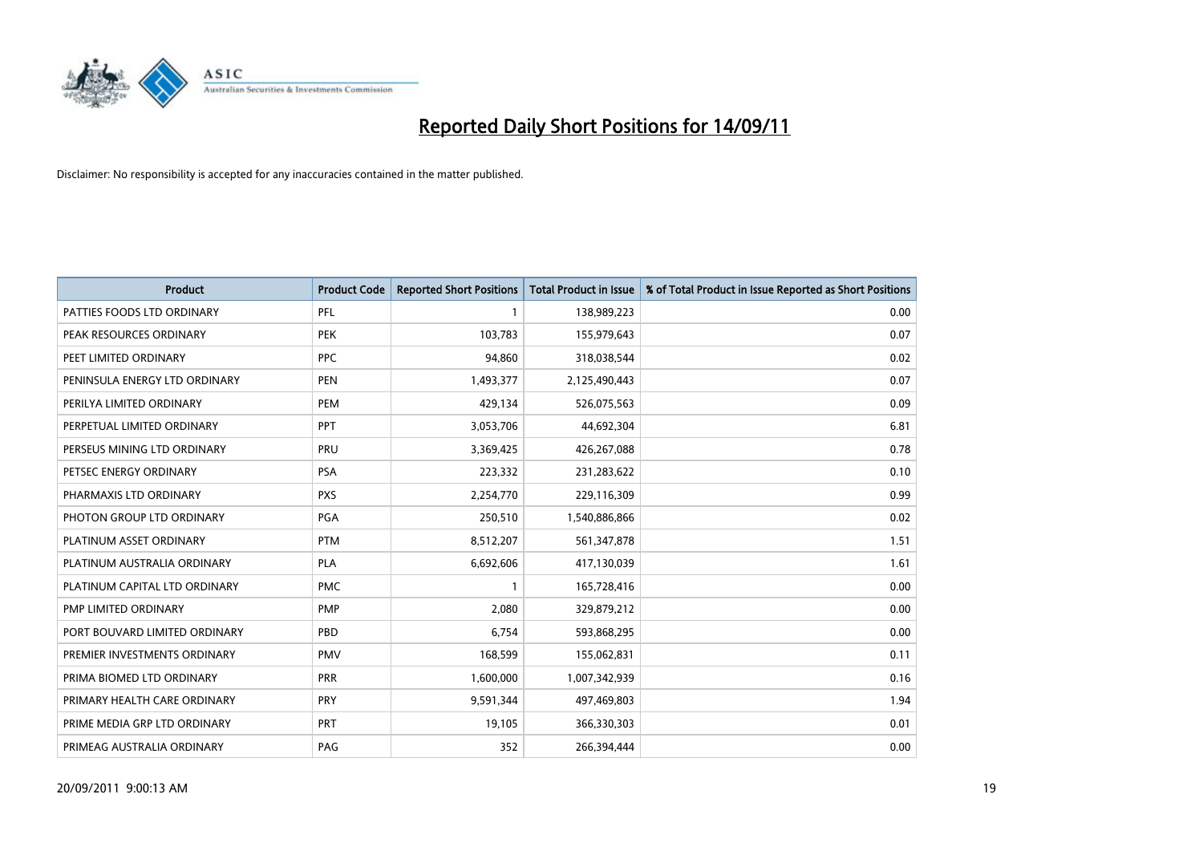

| <b>Product</b>                | <b>Product Code</b> | <b>Reported Short Positions</b> | Total Product in Issue | % of Total Product in Issue Reported as Short Positions |
|-------------------------------|---------------------|---------------------------------|------------------------|---------------------------------------------------------|
| PATTIES FOODS LTD ORDINARY    | PFL                 |                                 | 138,989,223            | 0.00                                                    |
| PEAK RESOURCES ORDINARY       | PEK                 | 103,783                         | 155,979,643            | 0.07                                                    |
| PEET LIMITED ORDINARY         | <b>PPC</b>          | 94.860                          | 318,038,544            | 0.02                                                    |
| PENINSULA ENERGY LTD ORDINARY | <b>PEN</b>          | 1,493,377                       | 2,125,490,443          | 0.07                                                    |
| PERILYA LIMITED ORDINARY      | PEM                 | 429,134                         | 526,075,563            | 0.09                                                    |
| PERPETUAL LIMITED ORDINARY    | PPT                 | 3,053,706                       | 44,692,304             | 6.81                                                    |
| PERSEUS MINING LTD ORDINARY   | PRU                 | 3,369,425                       | 426,267,088            | 0.78                                                    |
| PETSEC ENERGY ORDINARY        | <b>PSA</b>          | 223,332                         | 231,283,622            | 0.10                                                    |
| PHARMAXIS LTD ORDINARY        | <b>PXS</b>          | 2,254,770                       | 229,116,309            | 0.99                                                    |
| PHOTON GROUP LTD ORDINARY     | PGA                 | 250,510                         | 1,540,886,866          | 0.02                                                    |
| PLATINUM ASSET ORDINARY       | <b>PTM</b>          | 8,512,207                       | 561,347,878            | 1.51                                                    |
| PLATINUM AUSTRALIA ORDINARY   | <b>PLA</b>          | 6,692,606                       | 417,130,039            | 1.61                                                    |
| PLATINUM CAPITAL LTD ORDINARY | <b>PMC</b>          |                                 | 165,728,416            | 0.00                                                    |
| PMP LIMITED ORDINARY          | <b>PMP</b>          | 2,080                           | 329,879,212            | 0.00                                                    |
| PORT BOUVARD LIMITED ORDINARY | PBD                 | 6.754                           | 593,868,295            | 0.00                                                    |
| PREMIER INVESTMENTS ORDINARY  | <b>PMV</b>          | 168,599                         | 155,062,831            | 0.11                                                    |
| PRIMA BIOMED LTD ORDINARY     | <b>PRR</b>          | 1,600,000                       | 1,007,342,939          | 0.16                                                    |
| PRIMARY HEALTH CARE ORDINARY  | <b>PRY</b>          | 9,591,344                       | 497,469,803            | 1.94                                                    |
| PRIME MEDIA GRP LTD ORDINARY  | <b>PRT</b>          | 19,105                          | 366,330,303            | 0.01                                                    |
| PRIMEAG AUSTRALIA ORDINARY    | PAG                 | 352                             | 266,394,444            | 0.00                                                    |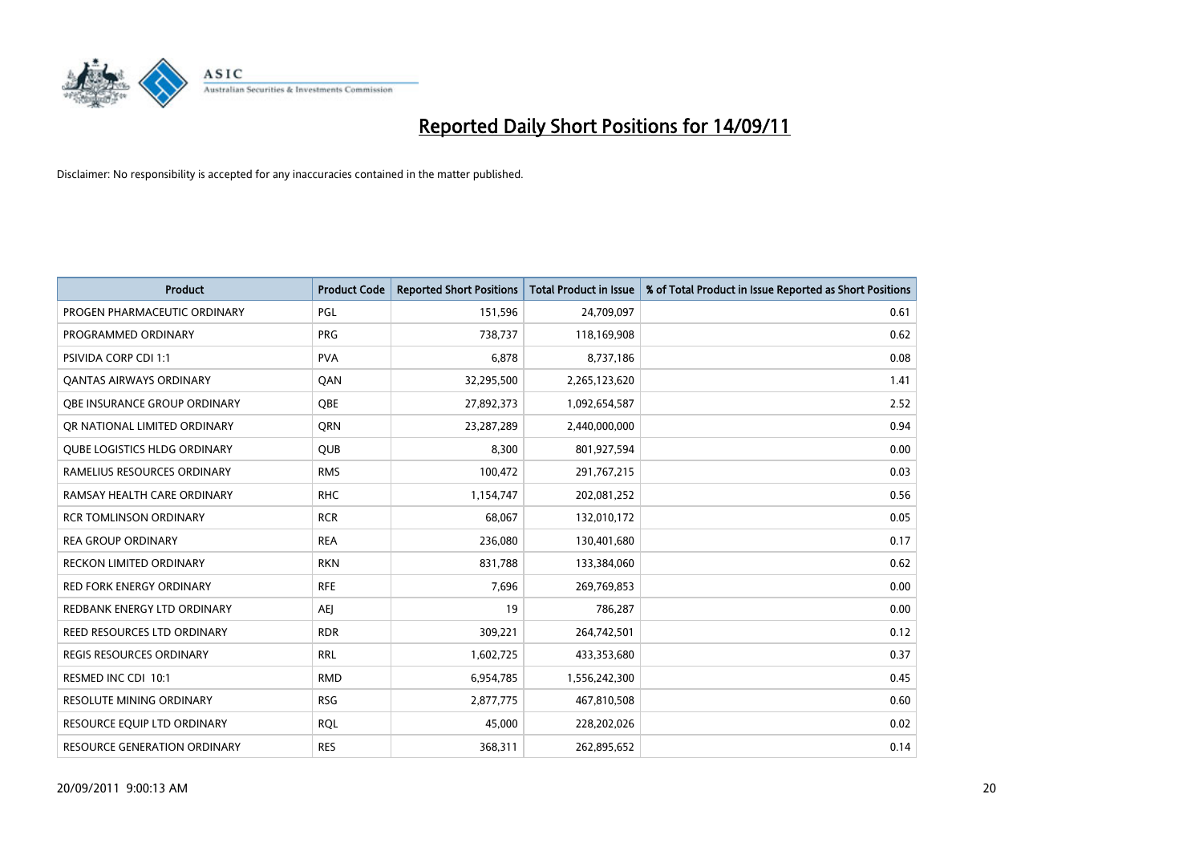

| <b>Product</b>                      | <b>Product Code</b> | <b>Reported Short Positions</b> | Total Product in Issue | % of Total Product in Issue Reported as Short Positions |
|-------------------------------------|---------------------|---------------------------------|------------------------|---------------------------------------------------------|
| PROGEN PHARMACEUTIC ORDINARY        | <b>PGL</b>          | 151,596                         | 24,709,097             | 0.61                                                    |
| PROGRAMMED ORDINARY                 | <b>PRG</b>          | 738,737                         | 118,169,908            | 0.62                                                    |
| <b>PSIVIDA CORP CDI 1:1</b>         | <b>PVA</b>          | 6,878                           | 8,737,186              | 0.08                                                    |
| <b>QANTAS AIRWAYS ORDINARY</b>      | QAN                 | 32,295,500                      | 2,265,123,620          | 1.41                                                    |
| OBE INSURANCE GROUP ORDINARY        | OBE                 | 27,892,373                      | 1,092,654,587          | 2.52                                                    |
| OR NATIONAL LIMITED ORDINARY        | <b>ORN</b>          | 23,287,289                      | 2,440,000,000          | 0.94                                                    |
| <b>QUBE LOGISTICS HLDG ORDINARY</b> | <b>QUB</b>          | 8.300                           | 801,927,594            | 0.00                                                    |
| RAMELIUS RESOURCES ORDINARY         | <b>RMS</b>          | 100,472                         | 291,767,215            | 0.03                                                    |
| RAMSAY HEALTH CARE ORDINARY         | <b>RHC</b>          | 1,154,747                       | 202,081,252            | 0.56                                                    |
| <b>RCR TOMLINSON ORDINARY</b>       | <b>RCR</b>          | 68.067                          | 132,010,172            | 0.05                                                    |
| <b>REA GROUP ORDINARY</b>           | <b>REA</b>          | 236,080                         | 130,401,680            | 0.17                                                    |
| <b>RECKON LIMITED ORDINARY</b>      | <b>RKN</b>          | 831,788                         | 133,384,060            | 0.62                                                    |
| <b>RED FORK ENERGY ORDINARY</b>     | <b>RFE</b>          | 7,696                           | 269,769,853            | 0.00                                                    |
| REDBANK ENERGY LTD ORDINARY         | <b>AEI</b>          | 19                              | 786,287                | 0.00                                                    |
| <b>REED RESOURCES LTD ORDINARY</b>  | <b>RDR</b>          | 309,221                         | 264,742,501            | 0.12                                                    |
| REGIS RESOURCES ORDINARY            | <b>RRL</b>          | 1,602,725                       | 433,353,680            | 0.37                                                    |
| RESMED INC CDI 10:1                 | <b>RMD</b>          | 6,954,785                       | 1,556,242,300          | 0.45                                                    |
| RESOLUTE MINING ORDINARY            | <b>RSG</b>          | 2,877,775                       | 467,810,508            | 0.60                                                    |
| <b>RESOURCE EOUIP LTD ORDINARY</b>  | <b>ROL</b>          | 45,000                          | 228,202,026            | 0.02                                                    |
| <b>RESOURCE GENERATION ORDINARY</b> | <b>RES</b>          | 368,311                         | 262,895,652            | 0.14                                                    |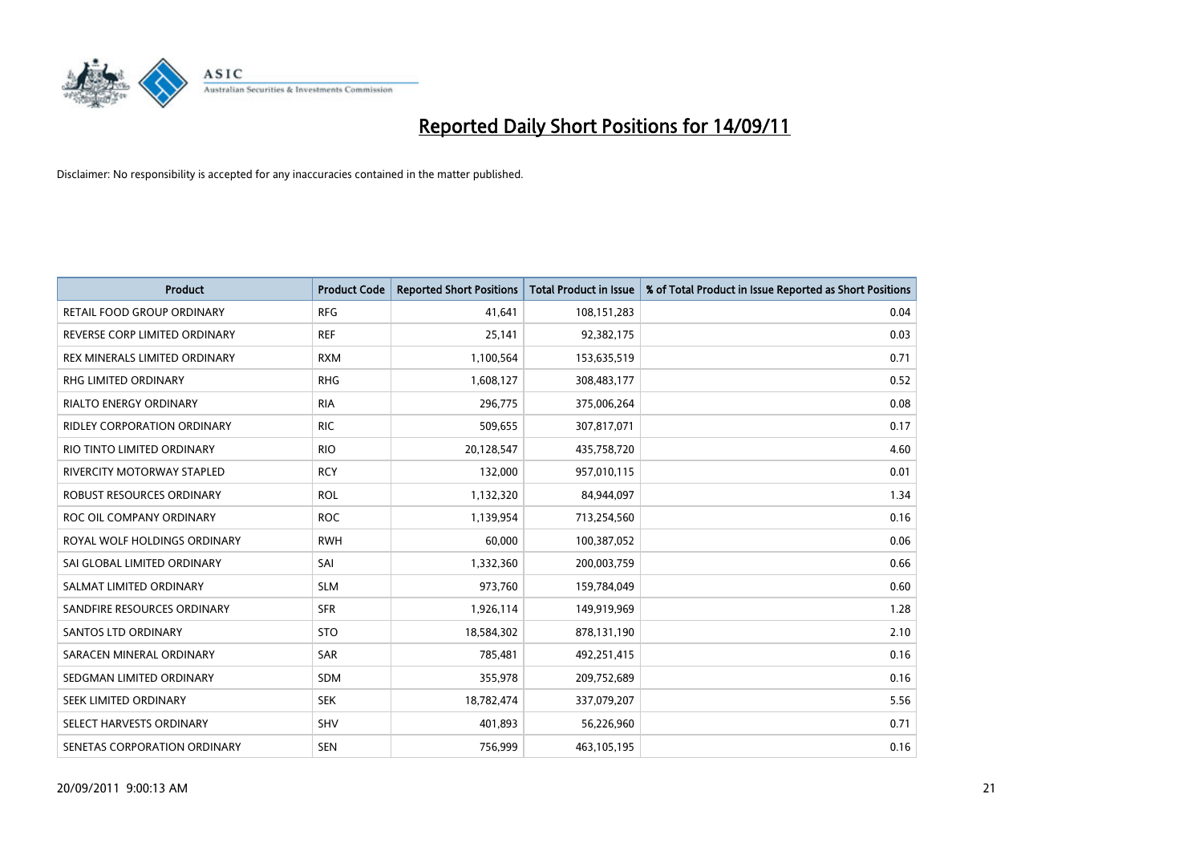

| <b>Product</b>                     | <b>Product Code</b> | <b>Reported Short Positions</b> | Total Product in Issue | % of Total Product in Issue Reported as Short Positions |
|------------------------------------|---------------------|---------------------------------|------------------------|---------------------------------------------------------|
| RETAIL FOOD GROUP ORDINARY         | <b>RFG</b>          | 41,641                          | 108,151,283            | 0.04                                                    |
| REVERSE CORP LIMITED ORDINARY      | <b>REF</b>          | 25,141                          | 92,382,175             | 0.03                                                    |
| REX MINERALS LIMITED ORDINARY      | <b>RXM</b>          | 1,100,564                       | 153,635,519            | 0.71                                                    |
| RHG LIMITED ORDINARY               | <b>RHG</b>          | 1,608,127                       | 308,483,177            | 0.52                                                    |
| <b>RIALTO ENERGY ORDINARY</b>      | <b>RIA</b>          | 296,775                         | 375,006,264            | 0.08                                                    |
| <b>RIDLEY CORPORATION ORDINARY</b> | <b>RIC</b>          | 509,655                         | 307,817,071            | 0.17                                                    |
| RIO TINTO LIMITED ORDINARY         | <b>RIO</b>          | 20,128,547                      | 435,758,720            | 4.60                                                    |
| RIVERCITY MOTORWAY STAPLED         | <b>RCY</b>          | 132,000                         | 957,010,115            | 0.01                                                    |
| ROBUST RESOURCES ORDINARY          | <b>ROL</b>          | 1,132,320                       | 84,944,097             | 1.34                                                    |
| ROC OIL COMPANY ORDINARY           | <b>ROC</b>          | 1,139,954                       | 713,254,560            | 0.16                                                    |
| ROYAL WOLF HOLDINGS ORDINARY       | <b>RWH</b>          | 60,000                          | 100,387,052            | 0.06                                                    |
| SAI GLOBAL LIMITED ORDINARY        | SAI                 | 1,332,360                       | 200,003,759            | 0.66                                                    |
| SALMAT LIMITED ORDINARY            | <b>SLM</b>          | 973,760                         | 159,784,049            | 0.60                                                    |
| SANDFIRE RESOURCES ORDINARY        | <b>SFR</b>          | 1,926,114                       | 149,919,969            | 1.28                                                    |
| SANTOS LTD ORDINARY                | <b>STO</b>          | 18,584,302                      | 878,131,190            | 2.10                                                    |
| SARACEN MINERAL ORDINARY           | SAR                 | 785,481                         | 492,251,415            | 0.16                                                    |
| SEDGMAN LIMITED ORDINARY           | SDM                 | 355,978                         | 209,752,689            | 0.16                                                    |
| SEEK LIMITED ORDINARY              | <b>SEK</b>          | 18,782,474                      | 337,079,207            | 5.56                                                    |
| SELECT HARVESTS ORDINARY           | <b>SHV</b>          | 401,893                         | 56,226,960             | 0.71                                                    |
| SENETAS CORPORATION ORDINARY       | <b>SEN</b>          | 756,999                         | 463,105,195            | 0.16                                                    |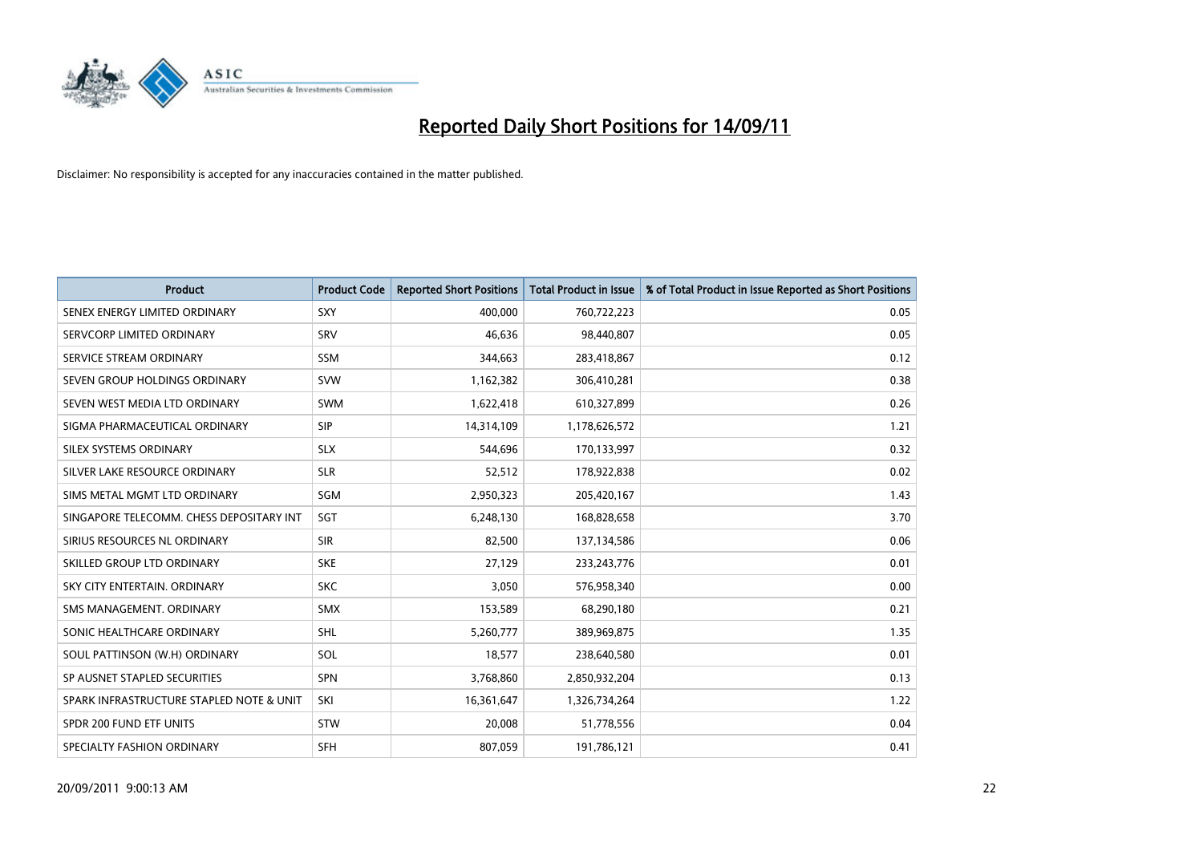

| <b>Product</b>                           | <b>Product Code</b> | <b>Reported Short Positions</b> | Total Product in Issue | % of Total Product in Issue Reported as Short Positions |
|------------------------------------------|---------------------|---------------------------------|------------------------|---------------------------------------------------------|
| SENEX ENERGY LIMITED ORDINARY            | <b>SXY</b>          | 400,000                         | 760,722,223            | 0.05                                                    |
| SERVCORP LIMITED ORDINARY                | SRV                 | 46.636                          | 98,440,807             | 0.05                                                    |
| SERVICE STREAM ORDINARY                  | <b>SSM</b>          | 344,663                         | 283,418,867            | 0.12                                                    |
| SEVEN GROUP HOLDINGS ORDINARY            | <b>SVW</b>          | 1,162,382                       | 306,410,281            | 0.38                                                    |
| SEVEN WEST MEDIA LTD ORDINARY            | <b>SWM</b>          | 1,622,418                       | 610,327,899            | 0.26                                                    |
| SIGMA PHARMACEUTICAL ORDINARY            | SIP                 | 14,314,109                      | 1,178,626,572          | 1.21                                                    |
| SILEX SYSTEMS ORDINARY                   | <b>SLX</b>          | 544.696                         | 170,133,997            | 0.32                                                    |
| SILVER LAKE RESOURCE ORDINARY            | <b>SLR</b>          | 52,512                          | 178,922,838            | 0.02                                                    |
| SIMS METAL MGMT LTD ORDINARY             | SGM                 | 2,950,323                       | 205,420,167            | 1.43                                                    |
| SINGAPORE TELECOMM. CHESS DEPOSITARY INT | SGT                 | 6,248,130                       | 168,828,658            | 3.70                                                    |
| SIRIUS RESOURCES NL ORDINARY             | <b>SIR</b>          | 82,500                          | 137,134,586            | 0.06                                                    |
| SKILLED GROUP LTD ORDINARY               | <b>SKE</b>          | 27,129                          | 233, 243, 776          | 0.01                                                    |
| SKY CITY ENTERTAIN, ORDINARY             | <b>SKC</b>          | 3.050                           | 576,958,340            | 0.00                                                    |
| SMS MANAGEMENT, ORDINARY                 | <b>SMX</b>          | 153,589                         | 68,290,180             | 0.21                                                    |
| SONIC HEALTHCARE ORDINARY                | SHL                 | 5,260,777                       | 389,969,875            | 1.35                                                    |
| SOUL PATTINSON (W.H) ORDINARY            | SOL                 | 18,577                          | 238,640,580            | 0.01                                                    |
| SP AUSNET STAPLED SECURITIES             | <b>SPN</b>          | 3,768,860                       | 2,850,932,204          | 0.13                                                    |
| SPARK INFRASTRUCTURE STAPLED NOTE & UNIT | SKI                 | 16,361,647                      | 1,326,734,264          | 1.22                                                    |
| SPDR 200 FUND ETF UNITS                  | <b>STW</b>          | 20,008                          | 51,778,556             | 0.04                                                    |
| SPECIALTY FASHION ORDINARY               | <b>SFH</b>          | 807.059                         | 191,786,121            | 0.41                                                    |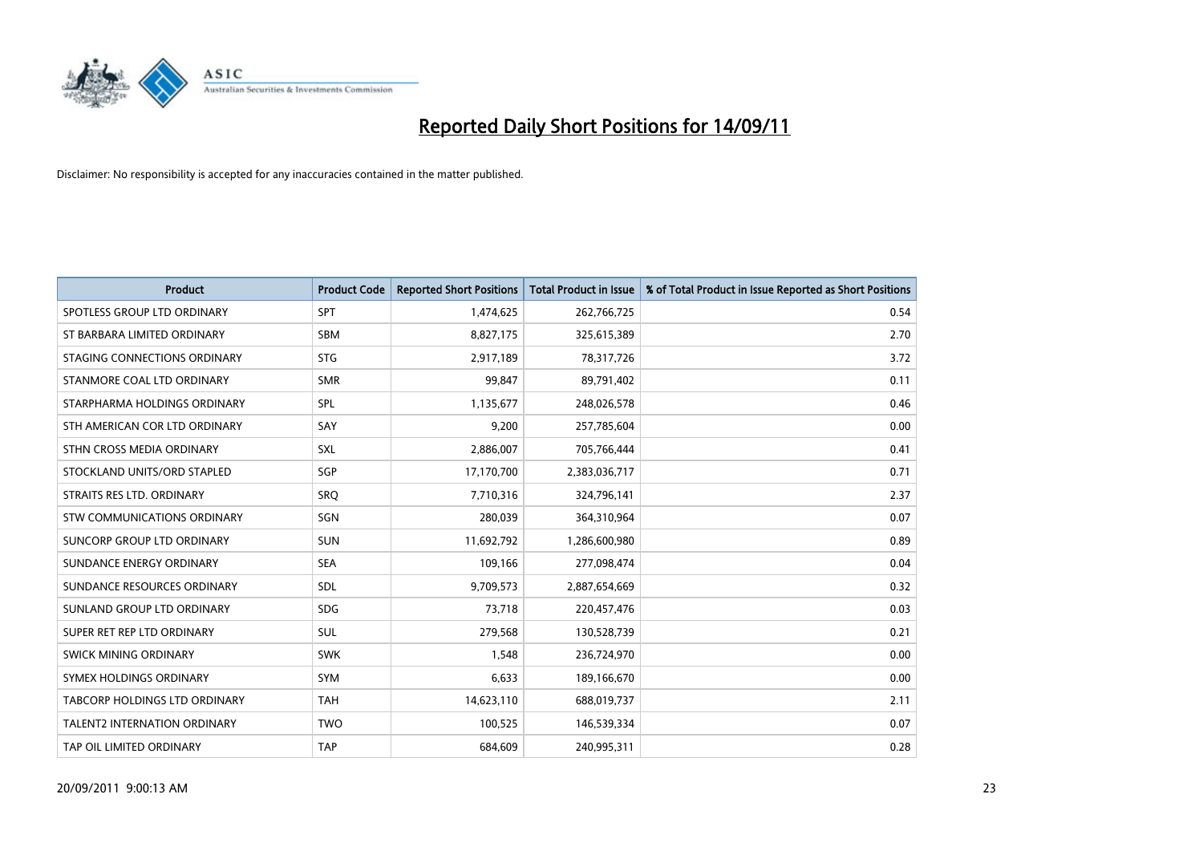

| <b>Product</b>                      | <b>Product Code</b> | <b>Reported Short Positions</b> | Total Product in Issue | % of Total Product in Issue Reported as Short Positions |
|-------------------------------------|---------------------|---------------------------------|------------------------|---------------------------------------------------------|
| SPOTLESS GROUP LTD ORDINARY         | <b>SPT</b>          | 1,474,625                       | 262,766,725            | 0.54                                                    |
| ST BARBARA LIMITED ORDINARY         | <b>SBM</b>          | 8,827,175                       | 325,615,389            | 2.70                                                    |
| STAGING CONNECTIONS ORDINARY        | <b>STG</b>          | 2,917,189                       | 78,317,726             | 3.72                                                    |
| STANMORE COAL LTD ORDINARY          | <b>SMR</b>          | 99,847                          | 89,791,402             | 0.11                                                    |
| STARPHARMA HOLDINGS ORDINARY        | SPL                 | 1,135,677                       | 248,026,578            | 0.46                                                    |
| STH AMERICAN COR LTD ORDINARY       | SAY                 | 9.200                           | 257,785,604            | 0.00                                                    |
| STHN CROSS MEDIA ORDINARY           | <b>SXL</b>          | 2,886,007                       | 705,766,444            | 0.41                                                    |
| STOCKLAND UNITS/ORD STAPLED         | <b>SGP</b>          | 17,170,700                      | 2,383,036,717          | 0.71                                                    |
| STRAITS RES LTD. ORDINARY           | SRO                 | 7,710,316                       | 324,796,141            | 2.37                                                    |
| STW COMMUNICATIONS ORDINARY         | SGN                 | 280,039                         | 364,310,964            | 0.07                                                    |
| SUNCORP GROUP LTD ORDINARY          | <b>SUN</b>          | 11,692,792                      | 1,286,600,980          | 0.89                                                    |
| SUNDANCE ENERGY ORDINARY            | <b>SEA</b>          | 109,166                         | 277,098,474            | 0.04                                                    |
| SUNDANCE RESOURCES ORDINARY         | <b>SDL</b>          | 9,709,573                       | 2,887,654,669          | 0.32                                                    |
| SUNLAND GROUP LTD ORDINARY          | <b>SDG</b>          | 73.718                          | 220,457,476            | 0.03                                                    |
| SUPER RET REP LTD ORDINARY          | <b>SUL</b>          | 279,568                         | 130,528,739            | 0.21                                                    |
| SWICK MINING ORDINARY               | <b>SWK</b>          | 1.548                           | 236,724,970            | 0.00                                                    |
| SYMEX HOLDINGS ORDINARY             | <b>SYM</b>          | 6,633                           | 189,166,670            | 0.00                                                    |
| TABCORP HOLDINGS LTD ORDINARY       | <b>TAH</b>          | 14,623,110                      | 688,019,737            | 2.11                                                    |
| <b>TALENT2 INTERNATION ORDINARY</b> | <b>TWO</b>          | 100,525                         | 146,539,334            | 0.07                                                    |
| TAP OIL LIMITED ORDINARY            | <b>TAP</b>          | 684,609                         | 240,995,311            | 0.28                                                    |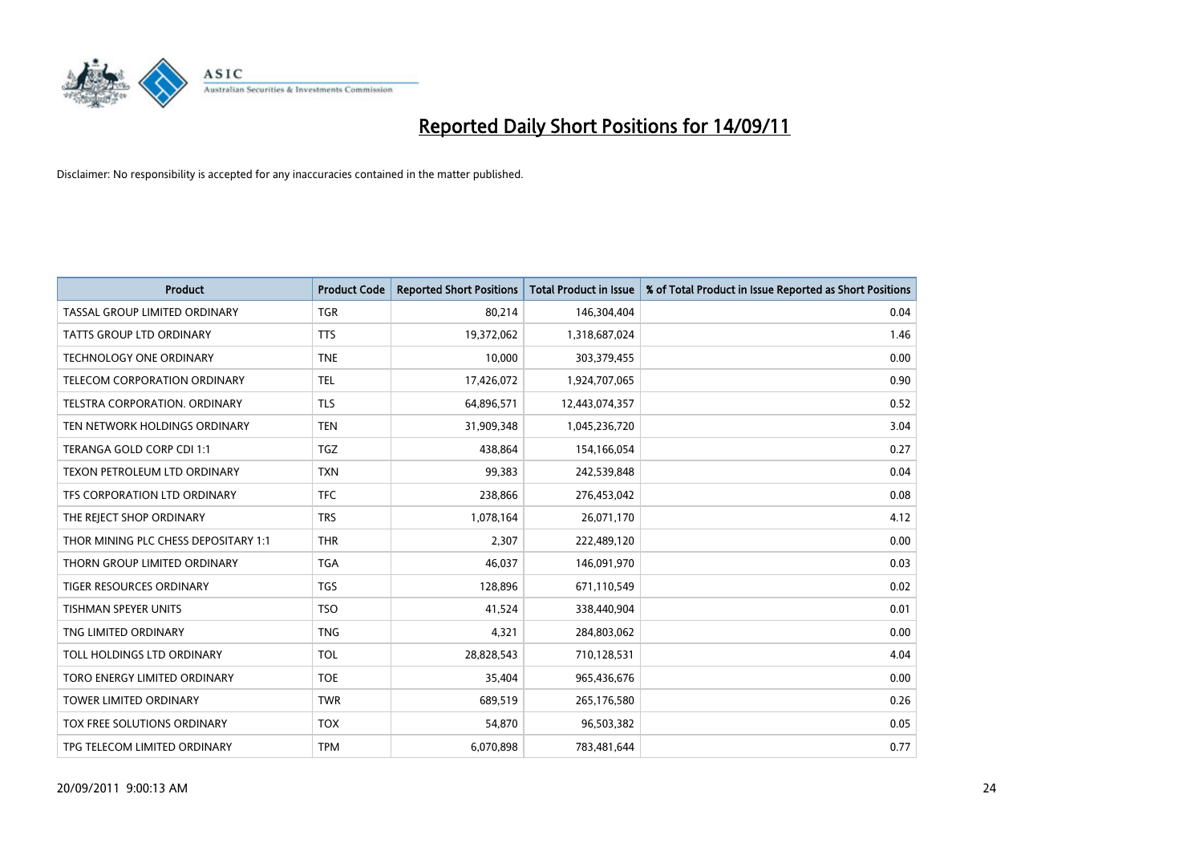

| <b>Product</b>                       | <b>Product Code</b> | <b>Reported Short Positions</b> | <b>Total Product in Issue</b> | % of Total Product in Issue Reported as Short Positions |
|--------------------------------------|---------------------|---------------------------------|-------------------------------|---------------------------------------------------------|
| TASSAL GROUP LIMITED ORDINARY        | <b>TGR</b>          | 80,214                          | 146,304,404                   | 0.04                                                    |
| TATTS GROUP LTD ORDINARY             | <b>TTS</b>          | 19,372,062                      | 1,318,687,024                 | 1.46                                                    |
| <b>TECHNOLOGY ONE ORDINARY</b>       | <b>TNE</b>          | 10,000                          | 303,379,455                   | 0.00                                                    |
| TELECOM CORPORATION ORDINARY         | <b>TEL</b>          | 17,426,072                      | 1,924,707,065                 | 0.90                                                    |
| TELSTRA CORPORATION, ORDINARY        | <b>TLS</b>          | 64,896,571                      | 12,443,074,357                | 0.52                                                    |
| TEN NETWORK HOLDINGS ORDINARY        | <b>TEN</b>          | 31,909,348                      | 1,045,236,720                 | 3.04                                                    |
| TERANGA GOLD CORP CDI 1:1            | <b>TGZ</b>          | 438.864                         | 154,166,054                   | 0.27                                                    |
| TEXON PETROLEUM LTD ORDINARY         | <b>TXN</b>          | 99,383                          | 242,539,848                   | 0.04                                                    |
| TFS CORPORATION LTD ORDINARY         | <b>TFC</b>          | 238,866                         | 276,453,042                   | 0.08                                                    |
| THE REJECT SHOP ORDINARY             | <b>TRS</b>          | 1,078,164                       | 26,071,170                    | 4.12                                                    |
| THOR MINING PLC CHESS DEPOSITARY 1:1 | <b>THR</b>          | 2,307                           | 222,489,120                   | 0.00                                                    |
| THORN GROUP LIMITED ORDINARY         | <b>TGA</b>          | 46,037                          | 146,091,970                   | 0.03                                                    |
| <b>TIGER RESOURCES ORDINARY</b>      | <b>TGS</b>          | 128,896                         | 671,110,549                   | 0.02                                                    |
| <b>TISHMAN SPEYER UNITS</b>          | <b>TSO</b>          | 41,524                          | 338,440,904                   | 0.01                                                    |
| TNG LIMITED ORDINARY                 | <b>TNG</b>          | 4,321                           | 284,803,062                   | 0.00                                                    |
| TOLL HOLDINGS LTD ORDINARY           | <b>TOL</b>          | 28,828,543                      | 710,128,531                   | 4.04                                                    |
| TORO ENERGY LIMITED ORDINARY         | <b>TOE</b>          | 35,404                          | 965,436,676                   | 0.00                                                    |
| TOWER LIMITED ORDINARY               | <b>TWR</b>          | 689,519                         | 265,176,580                   | 0.26                                                    |
| TOX FREE SOLUTIONS ORDINARY          | <b>TOX</b>          | 54,870                          | 96,503,382                    | 0.05                                                    |
| TPG TELECOM LIMITED ORDINARY         | <b>TPM</b>          | 6,070,898                       | 783,481,644                   | 0.77                                                    |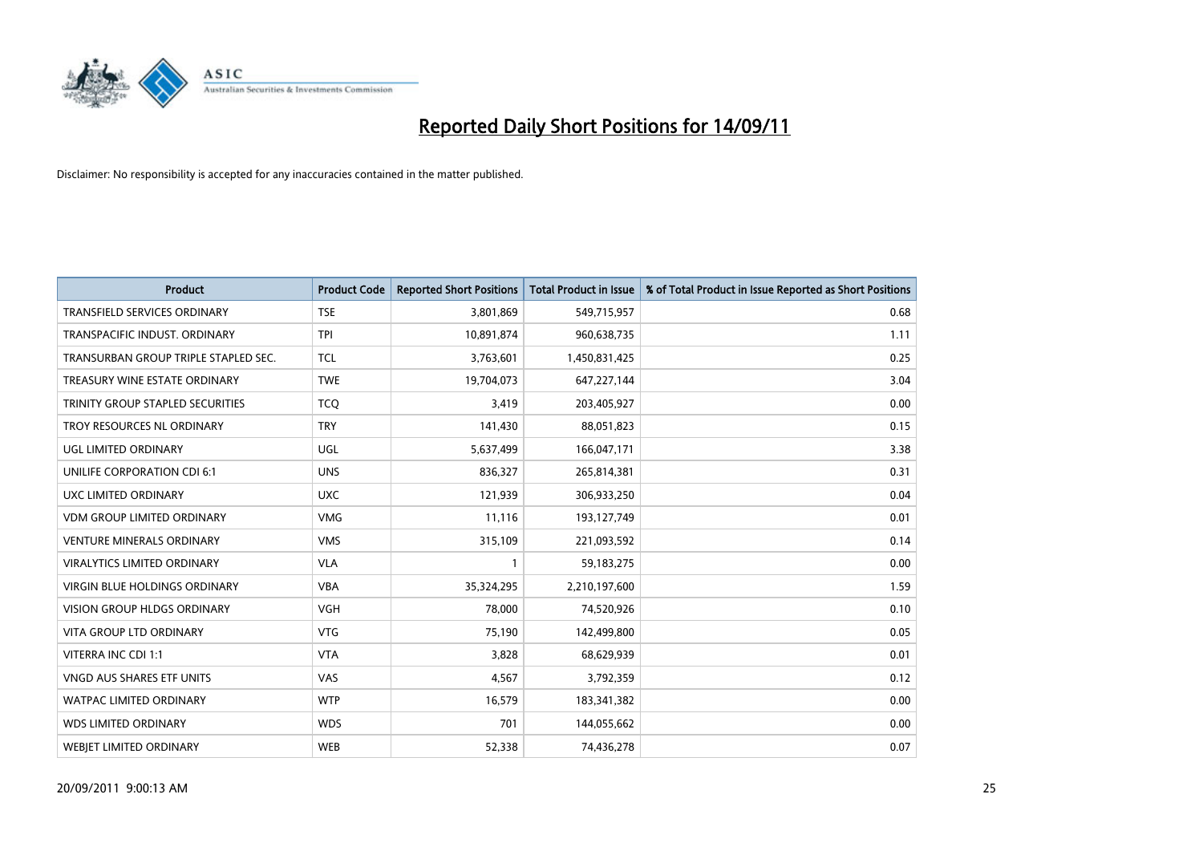

| <b>Product</b>                       | <b>Product Code</b> | <b>Reported Short Positions</b> | Total Product in Issue | % of Total Product in Issue Reported as Short Positions |
|--------------------------------------|---------------------|---------------------------------|------------------------|---------------------------------------------------------|
| <b>TRANSFIELD SERVICES ORDINARY</b>  | <b>TSE</b>          | 3,801,869                       | 549,715,957            | 0.68                                                    |
| TRANSPACIFIC INDUST. ORDINARY        | <b>TPI</b>          | 10,891,874                      | 960,638,735            | 1.11                                                    |
| TRANSURBAN GROUP TRIPLE STAPLED SEC. | <b>TCL</b>          | 3,763,601                       | 1,450,831,425          | 0.25                                                    |
| TREASURY WINE ESTATE ORDINARY        | <b>TWE</b>          | 19,704,073                      | 647,227,144            | 3.04                                                    |
| TRINITY GROUP STAPLED SECURITIES     | <b>TCO</b>          | 3,419                           | 203,405,927            | 0.00                                                    |
| TROY RESOURCES NL ORDINARY           | <b>TRY</b>          | 141,430                         | 88,051,823             | 0.15                                                    |
| UGL LIMITED ORDINARY                 | UGL                 | 5,637,499                       | 166,047,171            | 3.38                                                    |
| UNILIFE CORPORATION CDI 6:1          | <b>UNS</b>          | 836,327                         | 265,814,381            | 0.31                                                    |
| UXC LIMITED ORDINARY                 | <b>UXC</b>          | 121,939                         | 306,933,250            | 0.04                                                    |
| <b>VDM GROUP LIMITED ORDINARY</b>    | <b>VMG</b>          | 11,116                          | 193,127,749            | 0.01                                                    |
| <b>VENTURE MINERALS ORDINARY</b>     | <b>VMS</b>          | 315,109                         | 221,093,592            | 0.14                                                    |
| <b>VIRALYTICS LIMITED ORDINARY</b>   | <b>VLA</b>          |                                 | 59,183,275             | 0.00                                                    |
| <b>VIRGIN BLUE HOLDINGS ORDINARY</b> | <b>VBA</b>          | 35,324,295                      | 2,210,197,600          | 1.59                                                    |
| <b>VISION GROUP HLDGS ORDINARY</b>   | <b>VGH</b>          | 78,000                          | 74,520,926             | 0.10                                                    |
| <b>VITA GROUP LTD ORDINARY</b>       | VTG                 | 75,190                          | 142,499,800            | 0.05                                                    |
| VITERRA INC CDI 1:1                  | <b>VTA</b>          | 3.828                           | 68,629,939             | 0.01                                                    |
| <b>VNGD AUS SHARES ETF UNITS</b>     | VAS                 | 4,567                           | 3,792,359              | 0.12                                                    |
| WATPAC LIMITED ORDINARY              | <b>WTP</b>          | 16,579                          | 183,341,382            | 0.00                                                    |
| <b>WDS LIMITED ORDINARY</b>          | <b>WDS</b>          | 701                             | 144,055,662            | 0.00                                                    |
| <b>WEBIET LIMITED ORDINARY</b>       | <b>WEB</b>          | 52,338                          | 74,436,278             | 0.07                                                    |